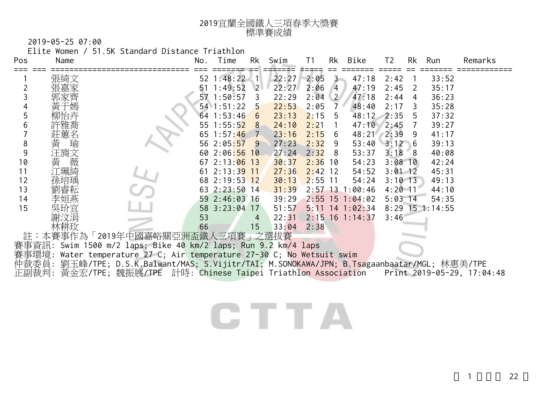| 2019宜蘭全國鐵人三項春季大獎賽 |
|-------------------|
| 標準賽成績             |

2019-05-25 07:00

Elite Women / 51.5K Standard Distance Triathlon

| Pos   | Name   |                                                                                        | No. | Time           | Rk             | Swim  | T <sub>1</sub> | Rk             | Bike              | T <sub>2</sub> | Rk             | Run               | Remarks |
|-------|--------|----------------------------------------------------------------------------------------|-----|----------------|----------------|-------|----------------|----------------|-------------------|----------------|----------------|-------------------|---------|
|       | 張綺文    |                                                                                        |     | 52 1:48:22     | $\leq 1$       | 22:27 | 2:05           | $3 -$          | 47:18             | 2:42           |                | 33:52             |         |
|       |        |                                                                                        |     | $51 \t1:49:52$ | 2 <sup>1</sup> | 22:27 | 2:06           | $\sqrt{4}$     | 47:19             | 2:45           | 2              | 35:17             |         |
| 3     |        |                                                                                        |     | 57 1:50:57     | 3              | 22:29 | 2:04           | $\binom{2}{2}$ | 47:18             | 2:44           | 4              | 36:23             |         |
|       |        |                                                                                        |     | $54$ 1:51:22   | $\overline{5}$ | 22:53 | 2:05           |                | 48:40             | 2:17           | $\overline{3}$ | 35:28             |         |
| 5     |        |                                                                                        |     | $64$ 1:53:46   | 6              | 23:13 | 2:15           | -5             | 48:12 2:35        |                | 5              | 37:32             |         |
| 6     |        |                                                                                        |     | 55 $1:55:52$ 8 |                | 24:10 | 2:21           |                | 47:10             | 2:45           | $\overline{7}$ | 39:27             |         |
|       |        |                                                                                        |     | 65 1:57:46     | $\overline{7}$ | 23:16 | 2:15           | 6              | 48:21 2:39        |                | 9              | 41:17             |         |
| 8     | 黃<br>瑜 |                                                                                        |     | 56 2:05:57     | 9              | 27:23 | 2:32           | 9              | $53:40$ $3:12$ 6  |                |                | 39:13             |         |
| 9     | 汪旖文    |                                                                                        |     | 60 2:06:56 10  |                | 27:24 | 2:32           | 8              | 53:37             | $3:18 \ 8$     |                | 40:08             |         |
| 10    | 黃<br>薇 |                                                                                        |     | 67 2:13:06 13  |                | 30:37 | $2:36$ 10      |                | 54:23             | $3:08$ 10      |                | 42:24             |         |
| 11    | :珮綺    |                                                                                        |     | 61 2:13:39 11  |                | 27:36 | $2:42$ 12      |                | 54:52             | $3:01$ 12      |                | 45:31             |         |
| 12    |        |                                                                                        |     | 68 2:19:53 12  |                | 30:13 | $2:55$ 11      |                | 54:24             | $3:10$ 13      |                | 49:13             |         |
| 13    |        |                                                                                        |     | 63 2:23:50 14  |                | 31:39 |                |                | $2:57$ 13 1:00:46 | $4:20$ 11      |                | 44:10             |         |
| 14    |        |                                                                                        |     | 59 2:46:03 16  |                | 39:29 |                |                | $2:55$ 15 1:04:02 | $5:03$ 14      |                | 54:35             |         |
| 15    |        |                                                                                        |     | 58 3:23:04 17  |                | 51:57 |                |                | $5:11$ 14 1:02:34 |                |                | $8:29$ 15 1:14:55 |         |
|       |        |                                                                                        | 53  |                | 4              | 22:31 |                |                | $2:15$ 16 1:14:37 | 3:46           |                |                   |         |
|       |        |                                                                                        | 66  |                | 15             | 33:04 | 2:38           |                |                   |                |                |                   |         |
|       |        | 註:本賽事作為「2019年中國嘉峪關亞洲盃鐵人三項賽」之選拔賽                                                        |     |                |                |       |                |                |                   |                |                |                   |         |
|       |        | 賽事資訊: Swim 1500 m/2 laps; Bike 40 km/2 laps; Run 9.2 km/4 laps                         |     |                |                |       |                |                |                   |                |                |                   |         |
|       |        | 賽事環境: Water temperature 27 C; Air temperature 27-30 C; No Wetsuit swim                 |     |                |                |       |                |                |                   |                |                |                   |         |
| 仲裁委員: |        | 劉玉峰/TPE; D.S.K.Balwant/MAS; S.Vijitr/TAI; M.SONOKAWA/JPN; B.Tsagaanbaatar/MGL; 林惠美/TPE |     |                |                |       |                |                |                   |                |                |                   |         |
| 正副裁判: |        | 黃金宏/TPE; 魏振展/TPE 計時: Chinese Taipei Triathlon Association Print 2019-05-29, 17:04:48   |     |                |                |       |                |                |                   |                |                |                   |         |
|       |        |                                                                                        |     |                |                |       |                |                |                   |                |                |                   |         |
|       |        |                                                                                        |     |                |                |       |                |                |                   |                |                |                   |         |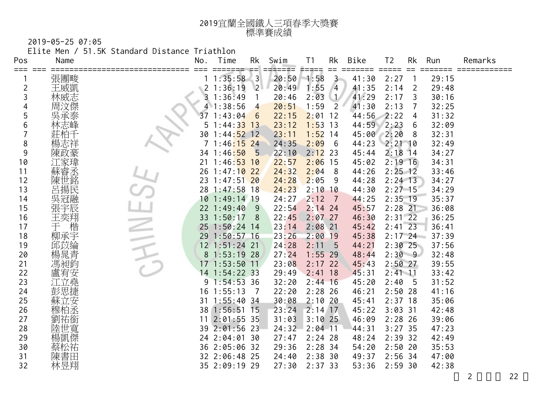| 2019宜蘭全國鐵人三項春季大獎賽 |
|-------------------|
| 標準賽成績             |

2019-05-25 07:05

Elite Men / 51.5K Standard Distance Triathlon

| Pos            | Name                                                                                                    | No. | Time          | Rk              | Swim                        | T1            | Rk             | Bike           | T <sub>2</sub>              | <b>Rk</b>   | Run   | Remarks |    |
|----------------|---------------------------------------------------------------------------------------------------------|-----|---------------|-----------------|-----------------------------|---------------|----------------|----------------|-----------------------------|-------------|-------|---------|----|
| === ===        | 張團畯                                                                                                     |     | $1:35:58$ 3   | izzi.           | ======<br>$\equiv$<br>20:50 | ≢≡≆≡≡<br>1:58 | $==$<br>$3 -$  | =====<br>41:30 | $=$ $=$ $=$ $=$ $=$<br>2:27 | $==$        | 29:15 |         |    |
| 2              |                                                                                                         |     | 21:36:19      | 2               | 20:49                       | 1:55          | 4              | 41:35          | 2:14                        | 2           | 29:48 |         |    |
| 3              |                                                                                                         |     | 31:36:49      |                 | 20:46                       | 2:03          | $\mathcal{L}$  | 41:29          | 2:17                        | 3           | 30:16 |         |    |
| 4              | 三威威<br><br><br><br><br><br><br><br><br><br><br><br><br><br><br><br><br><br><br><br><br><br><br><br><br> |     | 4 1:38:56     | $\overline{4}$  | 20:51                       | 1:59          | $\overline{2}$ | 41:30          | 2:13                        | 7           | 32:25 |         |    |
| 5              |                                                                                                         | 37  | 1:43:04       | $6\overline{6}$ | 22:15                       | $2:01$ 12     |                | 44:56          | 2:22                        | 4           | 31:32 |         |    |
| 6              | 吳承泰<br>林志峰                                                                                              | 5   | 1:44:33       | 13              | 23:12                       | $1:53$ 13     |                | 44:59          | 2:23                        | 6           | 32:09 |         |    |
| $\overline{7}$ |                                                                                                         |     | 30 1:44:52 12 |                 | 23:11                       | $1:52$ 14     |                | 45:00          | 2:20                        | 8           | 32:31 |         |    |
| 8              | 楊志祥                                                                                                     |     | 7 1:46:15 24  |                 | 24:35                       | 2:09          | 6              | 44:23          | $2:21 \ 10$                 |             | 32:49 |         |    |
| 9              | 陳政豪                                                                                                     |     | 34 1:46:50    | $-5$            | 22:10                       | $2:12$ 23     |                | 45:44          | 2:18                        | $\sqrt{14}$ | 34:27 |         |    |
| 10             | 家瑋                                                                                                      |     | 21 1:46:53 10 |                 | 22:57                       | $2:06$ 15     |                | 45:02          | $2:19$ 16                   |             | 34:31 |         |    |
| 11             | 蘇睿丞                                                                                                     |     | 26 1:47:10 22 |                 | 24:32                       | 2:04          | 8              | 44:26          | $2:25$ 12                   |             | 33:46 |         |    |
| 12             |                                                                                                         |     | 23 1:47:51 20 |                 | 24:28                       | 2:05          | 9              | 44:28          | $2:24$ 13                   |             | 34:27 |         |    |
| 13             |                                                                                                         |     | 28 1:47:58 18 |                 | 24:23                       | $2:10$ 10     |                | 44:30          | $2:27$ 15                   |             | 34:29 |         |    |
| 14             | 【陳呂場冠】<br>「東西」<br>「大豆」                                                                                  |     | 10 1:49:14 19 |                 | 24:27                       | 2:12          | $\overline{7}$ | 44:25          | $2:35$ 19                   |             | 35:37 |         |    |
| 15             | 張宇辰                                                                                                     |     | 22 1:49:40    | 9               | 22:54                       | $2:14$ 24     |                | 45:57          | $2:28$ 21                   |             | 36:08 |         |    |
| 16             | 王奕翔                                                                                                     |     | 33 1:50:17    | 8               | 22:45                       | $2:07$ 27     |                | 46:30          | $2:31$ 22                   |             | 36:25 |         |    |
| 17             | 楷<br>干                                                                                                  |     | 25 1:50:24 14 |                 | 23:14                       | $2:08$ 21     |                | 45:42          | $2:41$ 23                   |             | 36:41 |         |    |
| 18             | 柳承宇                                                                                                     |     | 29 1:50:57 16 |                 | 23:26                       | $2:00$ 19     |                | 45:38          | $2:17$ 24                   |             | 37:39 |         |    |
| 19             | ·<br>邱苡綸<br>楊晁青                                                                                         |     | 12 1:51:24 21 |                 | 24:28                       | 2:11          | 5              | 44:21          | $2:30$ 25                   |             | 37:56 |         |    |
| 20             |                                                                                                         |     | 8 1:53:19 28  |                 | 27:24                       | $1:55$ 29     |                | 48:44          | 2:309                       |             | 32:48 |         |    |
| 21             | 馮昶鈞                                                                                                     |     | 17 1:53:50 11 |                 | 23:08                       | $2:17$ 22     |                | 45:43          | $2:50$ 27                   |             | 39:55 |         |    |
| 22             | 盧宥安<br>江立堯                                                                                              |     | 14 1:54:22 33 |                 | 29:49                       | $2:41$ 18     |                | 45:31          | $2:41$ 11                   |             | 33:42 |         |    |
| 23             |                                                                                                         |     | 91:54:533     |                 | 32:20                       | $2:44$ 16     |                | 45:20          | 2:40                        | -5          | 31:52 |         |    |
| 24             | 彭思捷                                                                                                     |     | $16$ 1:55:13  |                 | 22:20                       | $2:28$ 26     |                | 46:21          | 2:50                        | -28         | 41:16 |         |    |
| 25             | 蘇立安                                                                                                     | 31  | $1:55:40$ 34  |                 | 30:08                       | $2:10$ 20     |                | 45:41          | $2:37$ 18                   |             | 35:06 |         |    |
| 26             | <b>秘德到陸!!!</b>                                                                                          |     | 38 1:56:51    | - 15            | 23:24                       | $2:14$ 17     |                | 45:22          | $3:03$ 31                   |             | 42:48 |         |    |
| 27             |                                                                                                         |     | 11 2:01:55 35 |                 | 31:03                       | $3:10$ 25     |                | 46:09          | $2:28$ 26                   |             | 39:06 |         |    |
| 28             |                                                                                                         |     | 39 2:01:56 23 |                 | 24:32                       | $2:04$ 11     |                | 44:31          | $3:27$ 35                   |             | 47:23 |         |    |
| 29             | 楊凱傑                                                                                                     |     | 24 2:04:01 30 |                 | 27:47                       | $2:24$ 28     |                | 48:24          | $2:39$ 32                   |             | 42:49 |         |    |
| 30             | 蔡松祐                                                                                                     |     | 36 2:05:06 32 |                 | 29:36                       | $2:28$ 34     |                | 54:20          | 2:5020                      |             | 35:53 |         |    |
| 31             | 陳書田                                                                                                     |     | 32 2:06:48 25 |                 | 24:40                       | $2:38$ 30     |                | 49:37          | $2:56$ 34                   |             | 47:00 |         |    |
| 32             | 林昱翔                                                                                                     |     | 35 2:09:19 29 |                 | 27:30                       | $2:37$ 33     |                | 53:36          | 2:59.30                     |             | 42:38 |         |    |
|                |                                                                                                         |     |               |                 |                             |               |                |                |                             |             |       | 2       | 22 |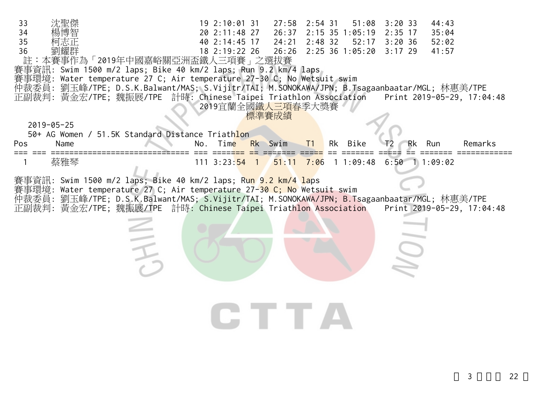| 33               | 19 2:10:01 31<br>27:58<br>$2:54$ 31<br>3:20.33<br>44:43<br>51:08                                                                                                                              |
|------------------|-----------------------------------------------------------------------------------------------------------------------------------------------------------------------------------------------|
| 34               | 2:15 35 1:05:19<br>$2:35$ 17<br>20 2:11:48 27<br>26:37<br>35:04                                                                                                                               |
| 35               | $2:48$ 32<br>40 2:14:45 17<br>24:21<br>52:17<br>3:20.36<br>52:02                                                                                                                              |
| 36               | 18 2:19:22 26<br>26:26<br>2:25 36 1:05:20<br>$3:17$ 29<br>41:57                                                                                                                               |
|                  | 註:本賽事作為「2019年中國嘉峪關亞洲盃鐵人三項賽」之選拔賽                                                                                                                                                               |
|                  | 賽事資訊: Swim 1500 m/2 laps; Bike 40 km/2 laps; Run 9.2 km/4 laps                                                                                                                                |
|                  | 賽事環境: Water temperature 27 C; Air temperature 27-30 C; No Wetsuit swim                                                                                                                        |
|                  | 仲裁委員: 劉玉峰/TPE; D.S.K.Balwant/MAS; S.Vijitr/TAI; M.SONOKAWA/JPN; B.Tsagaanbaatar/MGL; 林惠美/TPE<br>正副裁判: 黃金宏/TPE; 魏振展/TPE 計時: Chinese Taipei Triathlon Association<br>Print 2019-05-29, 17:04:48 |
|                  | 2019宜蘭全國鐵人三項春季大獎賽                                                                                                                                                                             |
|                  | 標準賽成績                                                                                                                                                                                         |
| $2019 - 05 - 25$ |                                                                                                                                                                                               |
|                  | 50+ AG Women / 51.5K Standard Distance Triathlon                                                                                                                                              |
| Name<br>Pos      | Time<br>No.<br>Rk Swim<br>Rk Bike<br>Rk Run<br>T1<br>Remarks                                                                                                                                  |
|                  |                                                                                                                                                                                               |
| 蔡雅琴              | $\frac{51:11}{7:06}$ 1 1:09:48 6:50 1 1:09:02<br>111 3:23: <mark>54 1</mark>                                                                                                                  |
|                  | 賽事資訊: Swim 1500 m/2 laps; Bike 40 km/2 laps; Run 9.2 km/4 laps                                                                                                                                |
|                  | 仲裁委員: 劉玉峰/TPE; D.S.K.Balwant/MAS; S.Vijitr/TAI; M.SONOKAWA/JPN; B.Tsagaanbaatar/MGL; 林惠美/TPE<br>正副裁判: 黃金宏/TPE; 魏振展/TPE 計時: Chinese Taipei Triathlon Association<br>Print 2019-05-29, 17:04:48 |
|                  | TTA                                                                                                                                                                                           |
|                  |                                                                                                                                                                                               |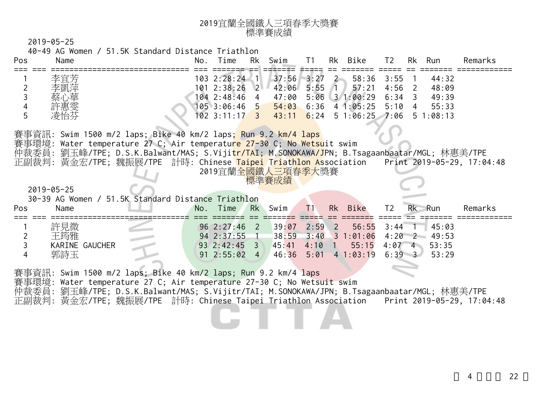2019-05-25 40-49 AG Women / 51.5K Standard Distance Triathlon Pos Name No. Time Rk Swim T1 Rk Bike T2 Rk Run Remarks === === ============================== === ======= == ======= ===== == ======= ===== == ======= ============ <sup>1</sup>李宜芳 103 2:28:24 1 37:56 3:27 2 58:36 3:55 1 44:32 <sup>2</sup>李凱萍 101 2:38:26 2 42:06 5:55 1 57:21 4:56 2 48:09 <sup>3</sup>蔡心華 104 2:48:46 4 47:00 5:06 3 1:00:29 6:34 3 49:39 <sup>4</sup>許惠雯 105 3:06:46 5 54:03 6:36 4 1:05:25 5:10 4 55:33 <sup>5</sup>凌怡芬 102 3:11:17 3 43:11 6:24 5 1:06:25 7:06 5 1:08:13 賽事資訊: Swim 1500 m/2 laps; Bike 40 km/2 laps; Run 9.2 km/4 laps 賽事環境: Water temperature 27 C; Air temperature 27-30 C; No Wetsuit swim 仲裁委員: 劉玉峰/TPE; D.S.K.Balwant/MAS; S.Vijitr/TAI; M.SONOKAWA/JPN; B.Tsagaanbaatar/MGL; 林惠美/TPE 正副裁判: 黃金宏/TPE; 魏振展/TPE 計時: Chinese Taipei Triathlon Association Print 2019-05-29, 17:04:48 2019官蘭全國鐵人三項春季大獎賽 標準賽成績 2019-05-25 30-39 AG Women / 51.5K Standard Distance Triathlon Pos Name No. Time Rk Swim T1 Rk Bike T2 Rk Run Remarks === === ============================== === ======= == ======= ===== == ======= ===== == ======= ============ 許見微 96 2:27:46 2 39:07 2:59 2 56:55 3:44 1 45:03 <sup>2</sup>王筠雅 94 2:37:55 1 38:59 3:40 3 1:01:06 4:20 2 49:53 3 KARINE GAUCHER 93 2:42:45 3 45:41 4:10 1 55:15 4:07 4 53:35

賽事資訊: Swim 1500 m/2 laps; Bike 40 km/2 laps; Run 9.2 km/4 laps

賽事環境: Water temperature 27 C; Air temperature 27-30 C; No Wetsuit swim

仲裁委員: 劉玉峰/TPE; D.S.K.Balwant/MAS; S.Vijitr/TAI; M.SONOKAWA/JPN; B.Tsagaanbaatar/MGL; 林惠美/TPE

4 郭詩玉 191 2:55:02 4 46:36 5:01 4 1:03:19 6:39 3 53:29

正副裁判: 黃金宏/TPE; 魏振展/TPE 計時: Chinese Taipei Triathlon Association Print 2019-05-29, 17:04:48

4 22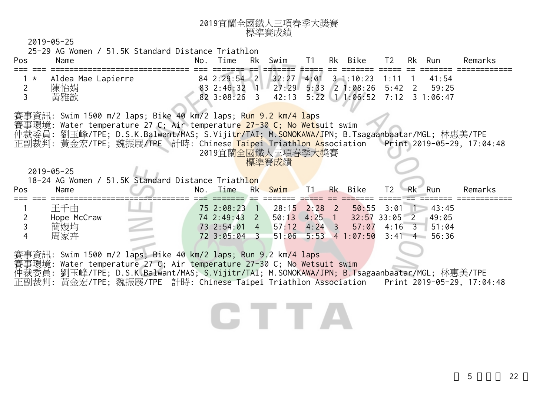2019-05-25

25-29 AG Women / 51.5K Standard Distance Triathlon

| Pos     | Name                                                                                                                                                                                                                                                                                                                                                  | No. Time          | Rk Swim | $-11$ | Rk Bike                                  | T2   | Rk Run | Remarks |
|---------|-------------------------------------------------------------------------------------------------------------------------------------------------------------------------------------------------------------------------------------------------------------------------------------------------------------------------------------------------------|-------------------|---------|-------|------------------------------------------|------|--------|---------|
| $\star$ | Aldea Mae Lapierre                                                                                                                                                                                                                                                                                                                                    | 84 2:29:54 2      | 32:27   | 4:01  | $3 \t1:10:23$                            | 1:11 | 41:54  |         |
|         | 陳怡娟                                                                                                                                                                                                                                                                                                                                                   |                   |         |       | 83 2:46:32 1 27:29 5:33 2 1:08:26 5:42 2 |      | 59:25  |         |
|         | 黃雅歆                                                                                                                                                                                                                                                                                                                                                   | 82 3:08:26 3      |         |       | 42:13 5:22 1 1:06:52 7:12 3 1:06:47      |      |        |         |
|         | 賽事資訊: Swim 1500 m/2 laps; Bike 40 km/2 laps; Run 9.2 km/4 laps<br>賽事環境: Water temperature 27 C; Air temperature 27-30 C; No Wetsuit swim<br>仲裁委員: 劉玉峰/TPE; D.S.K.Balwant/MAS; S.Vijit <mark>r/TAI; M.SONOKAWA/J</mark> PN; B.Tsagaanbaatar/MGL; 林惠美/TPE<br>正副裁判: 黃金宏/TPE; 魏振展/TPE 計時: Chinese Taipei Triathlon Association Print 2019-05-29, 17:04:48 | 2019官蘭全國鐵人三項春季大獎賽 | 標準賽成績   |       |                                          |      |        |         |
|         | $2019 - 05 - 25$                                                                                                                                                                                                                                                                                                                                      |                   |         |       |                                          |      |        |         |

18-24 AG Women / 51.5K Standard Distance Triathlon

| Pos | Name        |  |  | No. Time Rk Swim - T1 - Rk Bike                |  | T2 Rk Run |                       | Remarks |
|-----|-------------|--|--|------------------------------------------------|--|-----------|-----------------------|---------|
|     | 王千由         |  |  | 75 2:08:23 1 28:15 2:28 2 50:55 3:01 1 43:45   |  |           |                       |         |
|     | Hope McCraw |  |  | 74 2:49:43 2 50:13 4:25 1                      |  |           | $32:57$ 33:05 2 49:05 |         |
|     | 簡嫚均         |  |  | 73 2:54:01 4 57:12 4:24 3 57:07 4:16 3 51:04   |  |           |                       |         |
|     | 周家卉         |  |  | 72 3:05:04 3 51:06 5:53 4 1:07:50 3:41 4 56:36 |  |           |                       |         |

賽事資訊: Swim 1500 m/2 laps; Bike 40 km/2 laps; Run 9.2 km/4 laps

賽事環境: Water temperature 27 C; Air temperature 27-30 C; No Wetsuit swim

仲裁委員: 劉玉峰/TPE; D.S.K.Balwant/MAS; S.Vijitr/TAI; M.SONOKAWA/JPN; B.Tsagaanbaatar/MGL; 林惠美/TPE 正副裁判: 黃金宏/TPE; 魏振展/TPE 計時: Chinese Taipei Triathlon Association Print 2019-05-29, 17:04:48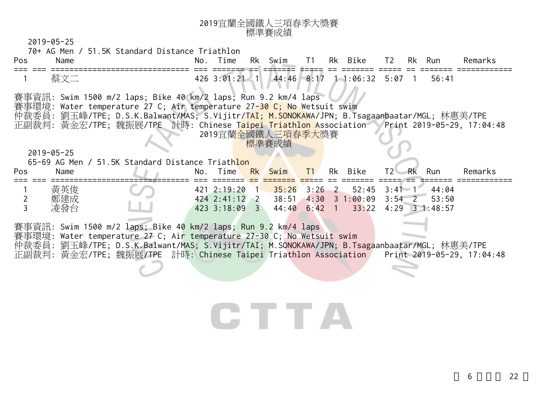2019-05-25

70+ AG Men / 51.5K Standard Distance Triathlon

| Pos            | Name                                             | .No | $ \cdot$<br>$\blacksquare$ | <b>Rk</b> | $\sim$<br>SW1M           | --                   | Rk | $\mathbf{r}$ .<br>マュレム<br>$-112$ | $T^{\wedge}$<br><u>_</u> | <b>Rk</b> | Rur            |                   |
|----------------|--------------------------------------------------|-----|----------------------------|-----------|--------------------------|----------------------|----|----------------------------------|--------------------------|-----------|----------------|-------------------|
| $- -$<br>$- -$ | ________                                         |     | ------                     | ___       |                          |                      |    |                                  |                          |           |                | ----------<br>___ |
|                | ∸∸<br>$\overline{\phantom{a}}$<br>ノカラ<br>ジー<br>— | ົາເ | $\sim$ $\sim$<br>$\cdot$ 0 |           | $\sim$<br>44<br>4h<br>гν | $\sim$<br><u>. v</u> |    | :06:                             | $:0^{\degree}$           |           | $\sim$<br>56:4 |                   |

賽事資訊: Swim 1500 m/2 laps; Bike 40 km/2 laps; Run 9.2 km/4 laps

賽事環境: Water temperature 27 C; Air temperature 27-30 C; No Wetsuit swim

仲裁委員: 劉玉峰/TPE; D.S.K.Balwant/MAS; S.Vijitr/TAI; M.SONOKAWA/JPN; B.Tsagaanbaatar/MGL; 林惠美/TPE 正副裁判: 黃金宏/TPE; 魏振展/TPE 計時: Chinese Taipei Triathlon Association Print 2019-05-29, 17:04:48 2019宜蘭全國鐵人三項春季大獎賽

標準賽成績

2019-05-25

|     |      | 65-69 AG Men / 51.5K Standard Distance Triathlon |               |               |         |    |    |      |                                                 |       |         |
|-----|------|--------------------------------------------------|---------------|---------------|---------|----|----|------|-------------------------------------------------|-------|---------|
| Pos | Name |                                                  | No. Time      |               | Rk Swim | T1 | Rk | Bike | $T2$ Rk                                         | Run   | Remarks |
|     |      |                                                  |               |               |         |    |    |      |                                                 |       |         |
|     | 黃英俊  | $\bigcup$                                        |               |               |         |    |    |      | $421$ 2:19:20 1 35:26 3:26 2 52:45 3:41 1       | 44:04 |         |
| _   | 鄭建成  |                                                  | 424 2:41:12 2 |               |         |    |    |      | $38:51$ 4:30 3 1:00:09 3:54 2                   | 53.50 |         |
|     | 凌發台  |                                                  | $423$ 3:18:09 | $\mathcal{R}$ |         |    |    |      | $44:40 \t6:42 \t1 \t33:22 \t4:29 \t3 \t1:48:57$ |       |         |
|     |      |                                                  |               |               |         |    |    |      |                                                 |       |         |

賽事資訊: Swim 1500 m/2 laps; Bike 40 km/2 laps; Run 9.2 km/4 laps 賽事環境: Water temperature 27 C; Air temperature 27-30 C; No Wetsuit swim 仲裁委員: 劉玉峰/TPE; D.S.K.Balwant/MAS; S.Vijitr/TAI; M.SONOKAWA/JPN; B.Tsagaanbaatar/MGL; 林惠美/TPE

正副裁判: 黃金宏/TPE; 魏振展/TPE 計時: Chinese Taipei Triathlon Association Print 2019-05-29, 17:04:48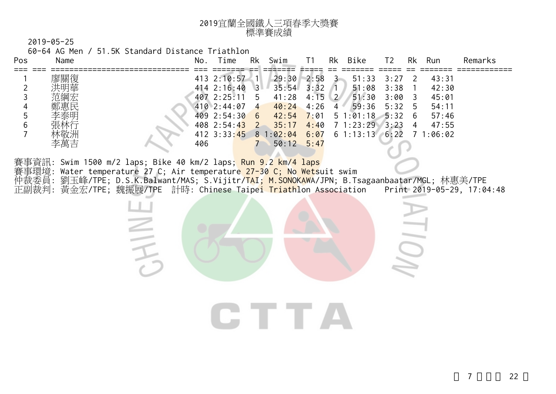| 2019宜蘭全國鐵人三項春季大獎賽 |
|-------------------|
| 標準賽成績             |

60-64 AG Men / 51.5K Standard Distance Triathlon

| Pos                                                      | Name       | 11 JULIE 11 JULIE 11 JULIE 21. JULIE 2011 VALUE 11 JULIE 11 JULIE 11 JULIE 11 JULIE 11 JULIE 11 JULIE 11 JULI                                                                                                                                                                                                        | No. | Time                                                                                           |                                               | Rk Swim                                                                                              | T1                                           |                                                              | Rk Bike                                                                                           | T <sub>2</sub>               |                                                                                          | Rk Run                                             | Remarks                    |
|----------------------------------------------------------|------------|----------------------------------------------------------------------------------------------------------------------------------------------------------------------------------------------------------------------------------------------------------------------------------------------------------------------|-----|------------------------------------------------------------------------------------------------|-----------------------------------------------|------------------------------------------------------------------------------------------------------|----------------------------------------------|--------------------------------------------------------------|---------------------------------------------------------------------------------------------------|------------------------------|------------------------------------------------------------------------------------------|----------------------------------------------------|----------------------------|
| $\overline{c}$<br>3<br>4<br>5<br>$\,6$<br>$\overline{7}$ | 廖關復<br>李萬吉 |                                                                                                                                                                                                                                                                                                                      | 406 | 413 2:10:57<br>$414$ $2:16:40$<br>407 2:25:11<br>410 2:44:07 4<br>409 2:54:30<br>408 2:54:43 2 | 41<br>$\sqrt{3}$<br>5<br>$6\overline{6}$<br>7 | $29:30$ 2:58<br>35:54<br>41:28<br>40:24<br>42:54<br>35:17<br>412 3:33:45 8 1:02:04<br>$50:12$ $5:47$ | 3:32<br>4:15<br>4:26<br>7:01<br>4:40<br>6:07 | 3 <sup>2</sup><br>$\sqrt{1}$<br>$\frac{2}{2}$<br>$4^{\circ}$ | 51:33<br>51:08<br>51:30<br>59:36<br>$51:01:18$ $5:32$<br>71:23:293:23<br>6 1:13:13 6:22 7 1:06:02 | 3:27<br>3:38<br>3:00<br>5:32 | $\overline{\phantom{0}}^2$<br>$\mathbf{1}$<br>$\overline{3}$<br>5<br>6<br>$\overline{4}$ | 43:31<br>42:30<br>45:01<br>54:11<br>57:46<br>47:55 |                            |
| 賽事環境:                                                    |            | 賽事資訊: Swim 1500 m/2 laps; Bike 40 km/2 laps; Run 9.2 km/4 laps<br>Water temperature 27 C; Air temperature 27-30 C; No Wetsuit swim<br>仲裁委員: 劉玉峰/TPE; D.S.K.Balwant/MAS; S.Vijitr/ <mark>TAI; M.SONOKAW</mark> A/JPN; B.Tsagaanbaatar/MGL; 林惠美/TPE<br>正副裁判: 黃金宏/TPE; 魏振展/TPE 計時: Chinese Taipei Triathlon Association |     |                                                                                                |                                               |                                                                                                      |                                              |                                                              |                                                                                                   |                              |                                                                                          |                                                    | Print 2019-05-29, 17:04:48 |
|                                                          |            |                                                                                                                                                                                                                                                                                                                      |     |                                                                                                |                                               | TTA                                                                                                  |                                              |                                                              |                                                                                                   |                              |                                                                                          |                                                    |                            |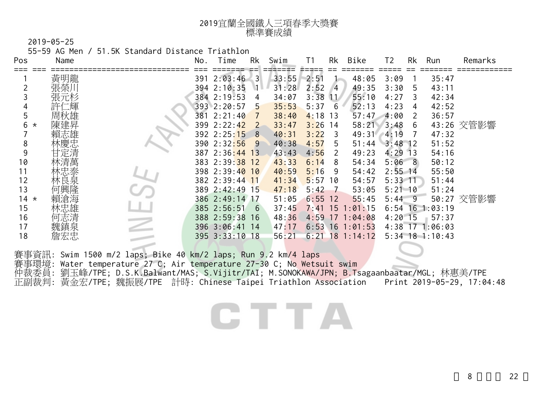| 2019宜蘭全國鐵人三項春季大獎賽 |
|-------------------|
| 標準賽成績             |

55-59 AG Men / 51.5K Standard Distance Triathlon

| Pos           | Name |                                                                                                                                         | No. | Time                      | Rk           | Swim  | Τ1        | Rk                      | Bike              | T <sub>2</sub> | Rk             | Run               | Remarks    |
|---------------|------|-----------------------------------------------------------------------------------------------------------------------------------------|-----|---------------------------|--------------|-------|-----------|-------------------------|-------------------|----------------|----------------|-------------------|------------|
|               | 黃明龍  |                                                                                                                                         |     | 391 2:03:46               | $\mathbf{3}$ | 33:55 | 2:51      |                         | 48:05             | 3:09           |                | 35:47             |            |
|               | 張榮川  |                                                                                                                                         |     | 394 2:10:35               | $1 -$        | 31:28 | 2:52      | $\sqrt{4}$              | 49:35             | 3:30           | 5              | 43:11             |            |
|               |      |                                                                                                                                         |     | 384 2:19:53               | 4            | 34:07 | $3:38$ 11 |                         | 55:10             | 4:27           | 3              | 42:34             |            |
|               | 「輝   |                                                                                                                                         |     | 393 2:20:57               | 5            | 35:53 | 5:37      | - 6                     | 52:13             | 4:23           | $\overline{4}$ | 42:52             |            |
| 5             |      |                                                                                                                                         |     | 381 2:21:40               |              | 38:40 | $4:18$ 13 |                         | 57:47             | 4:00           | <sup>2</sup>   | 36:57             |            |
| 6<br>$^\star$ |      |                                                                                                                                         |     | 399 2:22:42               | 2            | 33:47 | $3:26$ 14 |                         | 58:21             | 3:48           | 6              |                   | 43:26 交管影響 |
|               |      |                                                                                                                                         |     | 392 2:25:15               | 8            | 40:31 | 3:22      | $\overline{\mathbf{3}}$ | 49:31             | $4:19$ 7       |                | 47:32             |            |
| 8             |      |                                                                                                                                         |     | 390 2:32 <mark>:56</mark> | 9            | 40:38 | 4:57      | 5                       | 51:44             | $3:48$ 12      |                | 51:52             |            |
| 9             |      |                                                                                                                                         |     | 387 2:36:44 13            |              | 43:43 | 4:56      | -2                      | 49:23             | $4:29$ 13      |                | 54:16             |            |
| 10            |      |                                                                                                                                         |     | 383 2:39:38 12            |              | 43:33 | 6:14      | -8                      | 54:34             | $5:06$ 8       |                | 50:12             |            |
| 11            |      |                                                                                                                                         |     | 398 2:39:40 10            |              | 40:59 | 5:16      | -9                      | 54:42             | $2:55$ 14      |                | 55:50             |            |
| 12            |      |                                                                                                                                         |     | 382 2:39:44 11            |              | 41:34 | $5:57$ 10 |                         | 54:57             | $5:33$ 11      |                | 51:44             |            |
| 13            |      |                                                                                                                                         |     | 389 2:42:49 15            |              | 47:18 | 5:42      | $-7$                    | 53:05             | $5:21$ 10      |                | 51:24             |            |
| $14 *$        |      |                                                                                                                                         |     | 386 2:49:14 17            |              | 51:05 | $6:55$ 12 |                         | 55:45             | $5:44 - 9$     |                |                   | 50:27 交管影響 |
| 15            |      |                                                                                                                                         |     | 385 2:56:51 6             |              | 37:45 | $7:41$ 15 |                         | 1:01:15           |                |                | $6:54$ 16 1:03:19 |            |
| 16            |      |                                                                                                                                         |     | 388 2:59:38 16            |              | 48:36 |           |                         | $4:59$ 17 1:04:08 | $4:20$ 15      |                | 57:37             |            |
| 17            | 魏鎮泉  |                                                                                                                                         |     | 396 3:06:41 14            |              | 47:17 |           |                         | $6:53$ 16 1:01:53 |                |                | 4:38 17 1:06:03   |            |
| 18            | 詹宏忠  |                                                                                                                                         |     | $395$ $3:33:10$ 18        |              | 56:21 |           |                         | $6:21$ 18 1:14:12 |                |                | $5:34$ 18 1:10:43 |            |
|               |      | 賽事資訊: Swim 1500 m/2 laps; Bike 40 km/2 laps; Run 9.2 km/4 laps<br>事環境: Water temperature 27 C; Air temperature 27-30 C; No Wetsuit swim |     |                           |              |       |           |                         |                   |                |                |                   | 大大市 羊 /TDE |

仲裁委員: 劉玉峰/TPE; D.S.K.Balwant/MAS; S.Vijitr/TAI; M.SONOKAWA/JPN; <mark>B.T</mark>sagaanbaatar/MGL; 林惠美/TPE 正副裁判: 黃金宏/TPE; 魏振展/TPE 計時: Chinese Taipei Triathlon Association Print 2019-05-29, 17:04:48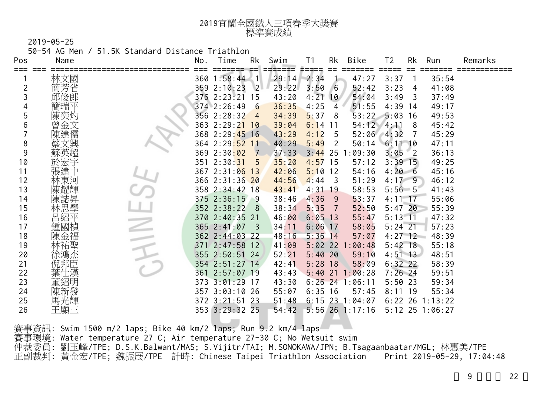2019-05-25

50-54 AG Men / 51.5K Standard Distance Triathlon

| Pos            | Name | No. | Time                         | Rk             | Swim  | T <sub>1</sub> | Rk | Bike              | T <sub>2</sub> | Rk             | Run               | Remarks |
|----------------|------|-----|------------------------------|----------------|-------|----------------|----|-------------------|----------------|----------------|-------------------|---------|
|                |      |     |                              |                |       |                |    |                   |                |                |                   |         |
|                | 林文國  |     | $360$ 1:58:44 1              |                | 29:14 | 2:34           |    | 47:27             | 3:37           | $\overline{1}$ | 35:54             |         |
| $\overline{2}$ | 簡芳省  |     | 359 2:10:23                  | $\overline{2}$ | 29:22 | 3:50           | 6  | 52:42             | 3:23           | $\overline{4}$ | 41:08             |         |
| 3              | 邱俊郎  |     | 376 2:23:21 15               |                | 43:20 | 4:21           | 10 | 54:04             | 3:49           | $\overline{3}$ | 37:49             |         |
| 4              |      |     | 374 2:26:49                  | 6              | 36:35 | 4:25           | 4  | 51:55             | $4:39$ 14      |                | 49:17             |         |
| 5              | 陳奕灼  |     | 356 2:28:32                  | $\overline{4}$ | 34:39 | 5:37           | 8  | 53:22             | $5:03$ 16      |                | 49:53             |         |
| 6              | 金文   |     | 363 2:29:21 10               |                | 39:04 | $6:14$ 11      |    | 54:12             | 4:11           | - 8            | 45:42             |         |
|                |      |     | 368 2:29:45 16               |                | 43:29 | 4:12           | 5  | 52:06             | 4:32           | 7              | 45:29             |         |
| 8              |      |     | 364 2:29 <mark>:52 11</mark> |                | 40:29 | 5:49           | 2  | 50:14             | $6:11$ 10      |                | 47:11             |         |
| 9              | 英超   |     | 369 2:30:02                  | 7              | 37:33 | $3:44$ 25      |    | :09:30            | $3:05$ 2       |                | 36:13             |         |
| 10             |      |     | 351 2:30:31                  | 5              | 35:20 | $4:57$ 15      |    | 57:12             | $3:39$ 15      |                | 49:25             |         |
| 11             | 張建中  |     | 367 2:31:06 13               |                | 42:06 | $5:10$ 12      |    | 54:16             | 4:20 6         |                | 45:16             |         |
| 12             | 林東河  |     | 366 2:31:36 20               |                | 44:56 | 4:44           | 3  | 51:29             | $4:17$ 9       |                | 46:12             |         |
| 13             |      |     | 358 2:34:42 18               |                | 43:41 | 4:31           | 19 | 58:53             | $5:56$ 5       |                | 41:43             |         |
| 14             | 誌昇   |     | 375 2:36:15 9                |                | 38:46 | 4:36           | 9  | 53:37             | $4:11$ 17      |                | 55:06             |         |
| 15             | 林思學  |     | 352 2:38:22                  | 8              | 38:34 | 5:35           | 7  | 52:50             | $5:47$ 20      |                | 55:39             |         |
| 16             |      |     | 370 2:40:35 21               |                | 46:00 | $6:05$ 13      |    | 55:47             | $5:13$ 11      |                | 47:32             |         |
| 17             | 國楨   |     | 365 2:41:07                  | 3              | 34:11 | $6:06$ 17      |    | 58:05             | $5:24$ 21      |                | 57:23             |         |
| 18             | 金福   |     | 362 2:44:03 22               |                | 48:16 | $5:36$ 14      |    | 57:07             | $4:27$ 12      |                | 48:39             |         |
| 19             | 林祐聖  |     | 371 2:47:58 12               |                | 41:09 | $5:02$ 22      |    | :00:48            | $5:42$ 18      |                | 55:18             |         |
| 20             | 鴻杰   |     | 355 2:50:51 24               |                | 52:21 | 5:4020         |    | 59:10             | $4:51$ 13      |                | 48:51             |         |
| 21             | 倪邦臣  |     | 354 2:51:27 14               |                | 42:41 | $5:28$ 18      |    | 58:09             | $6:32$ 22      |                | 58:39             |         |
| 22             | 仕漢   |     | 361 2:57:07 19               |                | 43:43 | $5:40$ 21      |    | 1:00:28           | $7:26$ 24      |                | 59:51             |         |
| 23             | 董紹明  |     | 373 3:01:29 17               |                | 43:30 |                |    | $6:26$ 24 1:06:11 | $5:50$ 23      |                | 59:34             |         |
| 24             | 陳新發  |     | 357 3:03:10 26               |                | 55:07 | $6:35$ 16      |    | 57:45             | $8:11$ 19      |                | 55:34             |         |
| 25             | 馬光輝  |     | 372 3:21:51 23               |                | 51:48 |                |    | $6:15$ 23 1:04:07 |                |                | $6:22$ 26 1:13:22 |         |
| 26             | 王顯三  |     | 353 3:29:32 25               |                | 54:42 |                |    | $5:56$ 26 1:17:16 |                |                | 5:12 25 1:06:27   |         |
|                |      |     |                              |                |       |                |    |                   |                |                |                   |         |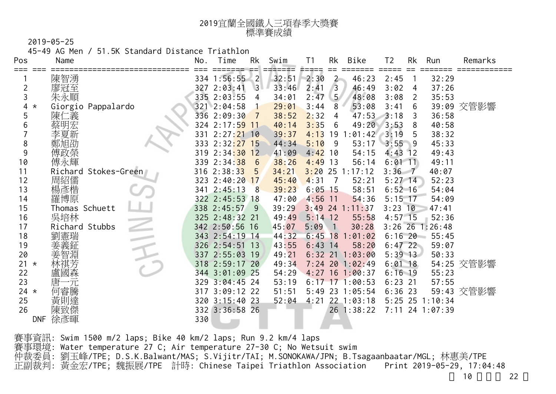2019-05-25

45-49 AG Men / 51.5K Standard Distance Triathlon

| Pos            | Name                 | No. | Time           | Rk              | Swim  | T <sub>1</sub> | Bike<br>Rk              | Τ2             | Rk  | Run               | Remarks    |
|----------------|----------------------|-----|----------------|-----------------|-------|----------------|-------------------------|----------------|-----|-------------------|------------|
|                | 陳智湧                  |     | 334 1:56:55    | $\overline{2}$  | 32:51 | 2:30           | 46:23<br>$\overline{2}$ | 2:45           |     | 32:29             |            |
| $\overline{2}$ | 廖冠至                  |     | 327 2:03:41    | $\overline{3}$  | 33:46 | 2:41           | 46:49<br>$\overline{3}$ | 3:02           | 4   | 37:26             |            |
| 3              | 朱永順                  |     | 335 2:03:55    | 4               | 34:01 | 2:47           | 48:08<br>5 <sup>′</sup> | 3:08           | 2   | 35:53             |            |
| 4<br>$^\star$  | Giorgio Pappalardo   |     | 321 2:04:58    |                 | 29:01 | 3:44           | 53:08<br>8              | 3:41           | 6   |                   | 39:09 交管影響 |
| 5              | 陳仁義                  |     | 336 2:09:30    |                 | 38:52 | 2:32           | 47:53<br>4              | 3:18           | 3   | 36:58             |            |
| 6              | 蔡明宏                  |     | 324 2:17:59    | $\overline{11}$ | 40:14 | 3:35           | 49:20<br>6              | 3:53           | 8   | 40:58             |            |
|                | 李夏新                  | 331 | $2:27:21$ 10   |                 | 39:37 | 4:13           | 19<br>:01:42            | 3:19           | 5   | 38:32             |            |
| 8              | 鄭旭劭                  | 333 | $2:32:27$ 15   |                 | 44:34 | 5:10           | 53:17<br>9              | 3:55           | - 9 | 45:33             |            |
| 9              | 専政榮                  |     | 319 2:34:30 12 |                 | 41:09 | 4:42           | 54:15<br>10             | $4:43$ 12      |     | 49:43             |            |
| 10             | 傅永輝                  |     | 339 2:34:38    | 6               | 38:26 | 4:49           | 56:14<br>13             | $6:01$ 11      |     | 49:11             |            |
| 11             | Richard Stokes-Green |     | 316 2:38:33    | 5               | 34:21 | $3:20$ 25      | 1:17:12                 | $3:36 \quad 7$ |     | 40:07             |            |
| 12             | 周紹儒                  |     | 323 2:40:20    | $\overline{17}$ | 45:40 | 4:31           | 52:21<br>7              | $5:27$ 14      |     | 52:23             |            |
| 13             | 楊彥楷                  | 341 | 2:45:13        | 8               | 39:23 | $6:05$ 15      | 58:51                   | $6:52$ 16      |     | 54:04             |            |
| 14             | 羅博原                  |     | 322 2:45:53 18 |                 | 47:00 | $4:56$ 11      | 54:36                   | $5:15$ 17      |     | 54:09             |            |
| 15             | Thomas Schuett       |     | 338 2:45:57    | 9               | 39:29 | $3:49$ 24      | 1:11:37                 | $3:23$ 10      |     | 47:41             |            |
| 16             | 吳培林                  |     | 325 2:48:32 21 |                 | 49:49 | $5:14$ 12      | 55:58                   | $4:57 - 15$    |     | 52:36             |            |
| 17             | Richard Stubbs       |     | 342 2:50:56 16 |                 | 45:07 | 5:09           | 30:28<br>$\sqrt{1}$     |                |     | $3:26$ 26 1:26:48 |            |
| 18             | 劉憲瑞                  |     | 343 2:54:19 14 |                 | 44:32 | 6:45           | 18<br>1:01:02           | $6:16$ 20      |     | 55:45             |            |
| 19             | 姜義鉦                  |     | 326 2:54:51 13 |                 | 43:55 | $6:43$ 14      | 58:20                   | $6:47$ 22      |     | 59:07             |            |
| 20             | 姜智淵                  |     | 337 2:55:03 19 |                 | 49:21 | $6:32$ 21      | 1:03:00                 | $5:39$ 13      |     | 50:33             |            |
| 21<br>$\star$  |                      |     | 318 2:59:17 20 |                 | 49:34 | $7:24$ 20      | 1:02:49                 | $6:01$ 18      |     |                   | 54:25 交管影響 |
| 22             | 盧國森                  |     | 344 3:01:09 25 |                 | 54:29 | $4:27$ 16      | 1:00:37                 | $6:16$ 19      |     | 55:23             |            |
| 23             | 唐                    |     | 329 3:04:45 24 |                 | 53:19 |                | $6:17$ 17 1:00:53       | $6:23$ 21      |     | 57:55             |            |
| $24 *$         | 何睿騰                  |     | 317 3:09:12 22 |                 | 51:51 |                | 5:49 23 1:05:54         | $6:36$ 23      |     | 59:43             | 交管影響       |
| 25             | 黃則達                  |     | 320 3:15:40 23 |                 | 52:04 | 4:21           | 22 1:03:18              |                |     | 5:25 25 1:10:34   |            |
| 26             | 陳致傑                  |     | 332 3:36:58 26 |                 |       |                | 26 1:38:22              |                |     | 7:11 24 1:07:39   |            |
| <b>DNF</b>     | 徐彥暉                  | 330 |                |                 |       |                |                         |                |     |                   |            |
|                |                      |     |                |                 |       |                |                         |                |     |                   |            |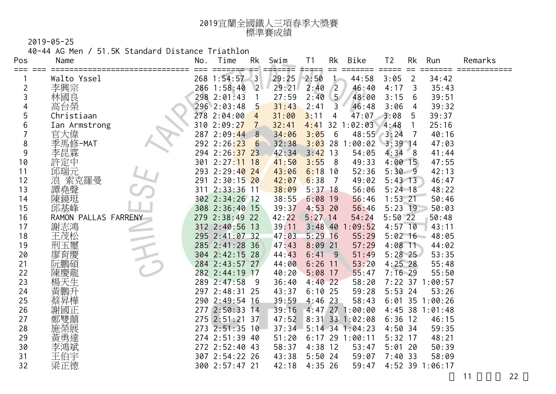2019-05-25

40-44 AG Men / 51.5K Standard Distance Triathlon

| Pos            | Name                 | No. | Time                      | Rk              | Swim          | T <sub>1</sub> | Rk              | <b>Bike</b>       | T <sub>2</sub>              | Rk             | Run               | Remarks |
|----------------|----------------------|-----|---------------------------|-----------------|---------------|----------------|-----------------|-------------------|-----------------------------|----------------|-------------------|---------|
| === ===        | Walto Yssel          |     | 268 1:54:57 3             | ice l           | ====<br>29:25 | ≢=∓=∓<br>2:50  | $==$<br>$1 -$   | 44:58             | $=$ $=$ $=$ $=$ $=$<br>3:05 | $\overline{2}$ | 34:42             |         |
| $\overline{c}$ | 李興宗                  |     | 286 1:58:40               | 2 <sup>1</sup>  | 29:21         | 2:40           | $\overline{2}$  | 46:40             | 4:17                        | $\overline{3}$ | 35:43             |         |
| 3              | 林國良                  |     | 298 2:01:43               |                 | 27:59         | 2:40           | 5 <sup>7</sup>  | 48:00             | 3:15                        | 6              | 39:51             |         |
| 4              | 高台榮                  |     | 296 2:03:48               | $\overline{5}$  | 31:43         | 2:41           | 3               | 46:48             | 3:06                        | $\overline{4}$ | 39:32             |         |
| 5              | Christiaan           |     | 278 2:04:00               | $\overline{4}$  | 31:00         | 3:11           | 4               | 47:07             | 3:08                        | 5              | 39:37             |         |
| 6              | Ian Armstrong        |     | 310 2:09:2 <mark>7</mark> | $\overline{7}$  | 32:41         | 4:41           | 32 <sup>2</sup> | 1:02:03           | 4:48                        |                | 25:16             |         |
| 7              | 官大偉                  |     | 287 2:09:44               | 8               | 34:06         | 3:05           | 6               | $48:55$ 3:24      |                             | $\overline{7}$ | 40:16             |         |
| 8              |                      |     | 292 2:26:23               | $6\overline{6}$ | 32:38         | $3:03$ 28      |                 | 1:00:02           | $3:39$ 14                   |                | 47:03             |         |
| 9              | 季馬修-MAT<br>李昆霖       |     | 294 2:26:37 23            |                 | 42:34         | $3:42$ 13      |                 | 54:05             | 4:34 8                      |                | 41:44             |         |
| 10             | 許定中                  |     | 301 2:27:11 18            |                 | 41:50         | 3:55           | 8 <sup>8</sup>  | 49:33             | $4:00$ 15                   |                | 47:55             |         |
| 11             | 邱瑞元                  |     | 293 2:29:40 24            |                 | 43:06         | $6:18$ 10      |                 | 52:36             | 5:309                       |                | 42:13             |         |
| 12             | 索克羅曼<br>浪            |     | 291 2:30:15 20            |                 | 42:07         | 6:38           | $\overline{7}$  | 49:02             | $5:43$ 13                   |                | 46:47             |         |
| 13             | 譚堯聲                  |     | 311 2:33:36 11            |                 | 38:09         | $5:37$ 18      |                 | 56:06             | $5:24$ 18                   |                | 48:22             |         |
| 14             | 陳鏡珽                  |     | 302 2:34:26 12            |                 | 38:55         | $6:08$ 19      |                 | 56:46             | $1:53$ 21                   |                | 50:46             |         |
| 15             | 邱基峰                  |     | 308 2:36:40 15            |                 | 39:37         | $4:53$ 20      |                 | 56:46             | $5:23$ 19                   |                | 50:03             |         |
| 16             | RAMON PALLAS FARRENY |     | 279 2:38:49 22            |                 | 42:22         | $5:27$ 14      |                 | 54:24             | $5:50$ 22                   |                | 50:48             |         |
| 17             | 謝志鴻                  |     | 312 2:40:56 13            |                 | 39:11         | $3:48$ 40      |                 | :09:52            | $4:57$ 10                   |                | 43:11             |         |
| 18             | 王茂松                  |     | 295 2:41:07 32            |                 | 47:03         | $5:29$ 16      |                 | 55:29             | $5:02$ 16                   |                | 48:05             |         |
| 19             | 刑玉璽                  |     | 285 2:41:28 36            |                 | 47:43         | $8:09$ 21      |                 | 57:29             | $4:08$ 11                   |                | 44:02             |         |
| 20             | 廖育慶                  |     | 304 2:42:15 28            |                 | 44:43         | 6:41           | $-9$            | 51:49             | $5:28$ 25                   |                | 53:35             |         |
| 21             | 阮鵬碩                  |     | 284 2:43:57 27            |                 | 44:00         | $6:26$ 11      |                 | 53:20             | $4:25$ 28                   |                | 55:48             |         |
| 22             | 陳慶龍                  |     | 282 2:44:19 17            |                 | 40:20         | $5:08$ 17      |                 | 55:47             | $7:16$ 29                   |                | 55:50             |         |
| 23             | 楊天生                  |     | 289 2:47:58               | - 9             | 36:40         | $4:40$ 22      |                 | 58:20             |                             |                | 7:22 37 1:00:57   |         |
| 24             | 黃鵬升                  |     | 297 2:48:31 25            |                 | 43:37         | $6:10$ 25      |                 | 59:28             | $5:53$ 24                   |                | 53:26             |         |
| 25             |                      |     | 290 2:49:54 16            |                 | 39:59         | $4:46$ 23      |                 | 58:43             |                             |                | $6:01$ 35 1:00:26 |         |
| 26             |                      |     | 277 2:50:33 14            |                 | 39:16         |                |                 | 4:47 27 1:00:00   |                             |                | 4:45 38 1:01:48   |         |
| 27             |                      |     | 275 2:51:21 37            |                 | 47:52         |                |                 | 8:31 33 1:02:08   | $6:36$ 12                   |                | 46:15             |         |
| 28             | 施榮展                  |     | 273 2:51:35 10            |                 | 37:34         |                |                 | $5:14$ 34 1:04:23 | 4:50.34                     |                | 59:35             |         |
| 29             | 黃勇達                  |     | 274 2:51:39 40            |                 | 51:20         |                |                 | 6:17 29 1:00:11   | $5:32$ 17                   |                | 48:21             |         |
| 30             | 李鴻斌                  |     | 272 2:52:40 43            |                 | 58:37         | $4:38$ 12      |                 | 53:47             | $5:01$ 20                   |                | 50:39             |         |
| 31             | 王伯宇                  |     | 307 2:54:22 26            |                 | 43:38         | $5:50$ 24      |                 | 59:07             | 7:40.33                     |                | 58:09             |         |
| 32             | 梁正德                  |     | 300 2:57:47 21            |                 | 42:18         | $4:35$ 26      |                 | 59:47             |                             |                | 4:52 39 1:06:17   |         |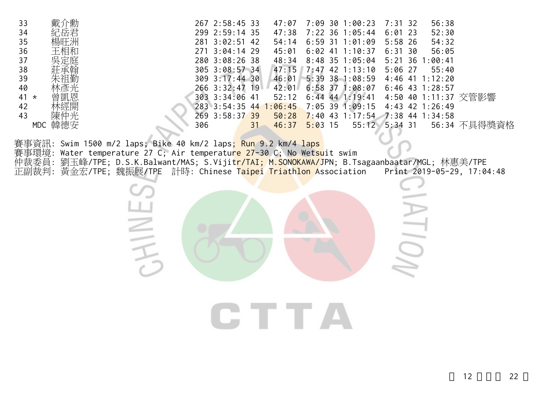| 33     | 戴介勳        |     | 267 2:58:45 33         |    | 47:07 | 7:09<br>-30 | 1:00:23                           | 7:31.32   | 56:38             |                      |
|--------|------------|-----|------------------------|----|-------|-------------|-----------------------------------|-----------|-------------------|----------------------|
| 34     | 紀岳君        |     | 299 2:59:14 35         |    | 47:38 |             | 7:22 36 1:05:44                   | $6:01$ 23 | 52:30             |                      |
| 35     | 楊旺洲        |     | 281 3:02:51 42         |    | 54:14 | $6:59$ 31   | 1:01:09                           | $5:58$ 26 | 54:32             |                      |
| 36     | 王相和        |     | 271 3:04:14 29         |    | 45:01 | $6:02$ 41   | 1:10:37                           | 6:31.30   | 56:05             |                      |
| 37     | 吳定庭        |     | 280 3:08:26 38         |    | 48:34 |             | 8:48 35 1:05:04                   |           | $5:21$ 36 1:00:41 |                      |
| 38     | 莊承翰        |     | 305 3:08:57 34         |    |       |             | $47:15$ 7:47 42 1:13:10           | $5:06$ 27 | 55:40             |                      |
| 39     | 朱祖勤        |     | 309 3:17:44 30         |    | 46:01 |             | $5:39$ 38 1:08:59                 |           | 4:46 41 1:12:20   |                      |
| 40     | 林彥光        |     | 266 3:32:47 19         |    | 42:01 |             | $6:58$ 37 1:08:07                 |           | $6:46$ 43 1:28:57 |                      |
| $41 *$ | 曾凱恩        |     | 303 3:34:06 41         |    | 52:12 |             | $6:44$ 44 1:19:41                 |           |                   | 4:50 40 1:11:37 交管影響 |
| 42     | 林經開        |     | 283 3:54:35 44 1:06:45 |    |       |             | $7:05$ 39 1:09:15                 |           | $4:43$ 42 1:26:49 |                      |
| 43     | 陳仲光        |     | 269 3:58:37 39         |    | 50:28 |             | $7:40$ 43 1:17:54 7:38 44 1:34:58 |           |                   |                      |
|        | 韓德安<br>MDC | 306 |                        | 31 | 46:37 | $5:03$ 15   | 55:12 5:34 31                     |           |                   | 56:34 不具得獎資格         |
|        |            |     |                        |    |       |             |                                   |           |                   |                      |

賽事資訊: Swim 1500 m/2 laps; Bike 40 km/2 laps; Run 9.2 km/4 laps 賽事環境: Water temperature 27 C; Air temperature 27-30 C; No Wetsuit swim 仲裁委員: 劉玉峰/TPE; D.S.K.Balwant/MAS; S.Vijit<mark>r/TAI; M.SONOKAWA/J</mark>PN; B.Tsagaanbaatar/MGL; 林惠美/TPE 正副裁判: 黃金宏/TPE; 魏振展/TPE 計時: Chinese <mark>Taipei Triathlon A</mark>ssociation Print 2019-05-29, 17:04:48

CTTA

**HINE** 

 $\sum$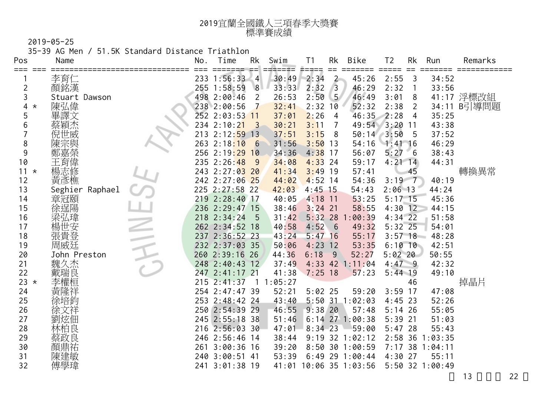2019-05-25

35-39 AG Men / 51.5K Standard Distance Triathlon

| Pos           | Name            | No. | Time            | Rk                     | Swim           | T <sub>1</sub> | Rk                       | Bike                   | T <sub>2</sub> | Rk             | Run             | Remarks     |
|---------------|-----------------|-----|-----------------|------------------------|----------------|----------------|--------------------------|------------------------|----------------|----------------|-----------------|-------------|
|               | 李育仁             |     | 233 1:56:33     | $==$<br>$\overline{4}$ | =====<br>30:49 | #====<br>2:34  | $\overline{2}$           | 45:26                  | 2:55           | 3              | 34:52           |             |
| 2             | 顏銘漢             |     | 255 1:58:59     | 8                      | 33:33          | 2:32           | $\overline{3}$           | 46:29                  | 2:32           | -1             | 33:56           |             |
| 3             | Stuart Dawson   |     | 498 2:00:46     | 2                      | 26:53          | 2:50           | $\overline{\phantom{0}}$ | 46:49                  | 3:01           | 8              |                 | 41:17 浮標改組  |
| 4<br>$^\star$ | 陳弘偉             |     | 238 2:00:56     | $\overline{7}$         | 32:41          | 2:32           | 10                       | 52:32                  | 2:38           | $\overline{2}$ |                 | 34:11 B引導問題 |
| 5             | 譯文              |     | 252 2:03:53 11  |                        | 37:01          | 2:26           | $\overline{4}$           | 46:35                  | 2:28           | $\overline{4}$ | 35:25           |             |
| 6             |                 |     | 234 2:10:21     | 3                      | 30:21          | 3:11           | 7                        | 49:54                  | $3:20$ 11      |                | 43:38           |             |
|               |                 |     | 213 2:12:59 13  |                        | 37:51          | 3:15           | 8                        | 50:14                  | 3:50           | 5              | 37:52           |             |
| 8             |                 |     | $263$ $2:18:10$ | 6                      | 31:56          | $3:50$ 13      |                          | 54:16                  | $1:41$ 16      |                | 46:29           |             |
| 9             |                 |     | 256 2:19:29 10  |                        | 34:36          | $4:38$ 17      |                          | 56:07                  | 5:27           | $-6$           | 38:43           |             |
| 10            | 王育偉             |     | 235 2:26:48     | $^{\circ}$ 9           | 34:08          | $4:33$ 24      |                          | 59:17                  | $4:21$ 14      |                | 44:31           |             |
| 11<br>$\star$ | 楊志修             |     | 243 2:27:03 20  |                        | 41:34          | $3:49$ 19      |                          | 57:41                  |                | 45             |                 | 轉換異常        |
| 12            | 黃彥樵             |     | 242 2:27:06 25  |                        | 44:02          | $4:52$ 14      |                          | 54:36                  | $3:19 \t 7$    |                | 40:19           |             |
| 13            | Seghier Raphael |     | 225 2:27:58 22  |                        | 42:03          | $4:45$ 15      |                          | 54:43                  | $2:06$ 13      |                | 44:24           |             |
| 14            | 章冠頤             |     | 219 2:28:40 17  |                        | 40:05          | $4:18$ 11      |                          | 53:25                  | $5:17$ 15      |                | 45:36           |             |
| 15            | 徐逞陽             |     | 236 2:29:47 15  |                        | 38:46          | $3:24$ 21      |                          | 58:55                  | $4:30$ 12      |                | 44:15           |             |
| 16            |                 |     | 218 2:34:24     | 5                      | 31:42          | $5:32$ 28      |                          | :00:39<br>-1           | $4:34$ 22      |                | 51:58           |             |
| 17            |                 |     | 262 2:34:52 18  |                        | 40:58          | 4:52           | 6                        | 49:32                  | $5:32$ 25      |                | 54:01           |             |
| 18            | 張貴登             |     | 237 2:36:52 23  |                        | 43:24          | $5:47$ 16      |                          | 55:17                  | $3:57$ 18      |                | 48:28           |             |
| 19            | 周威廷             |     | 232 2:37:03 35  |                        | 50:06          | $4:23$ 12      |                          | 53:35                  | $6:10$ 10      |                | 42:51           |             |
| 20            | John Preston    |     | 260 2:39:16 26  |                        | 44:36          | 6:18           | $-9$                     | 52:27                  | 5:0220         |                | 50:55           |             |
| 21            | 魏久杰             |     | 248 2:40:43 12  |                        | 37:49          |                |                          | 4:33 42 1:11:04        | $4:47$ 9       |                | 42:32           |             |
| 22            | 戴瑞良             |     | 247 2:41:17 21  |                        | 41:38          | $7:25$ 18      |                          | 57:23                  | $5:44$ 19      |                | 49:10           |             |
| 23 $\star$    | 李權桓             |     | $215$ $2:41:37$ |                        | 11:05:27       |                |                          |                        |                | 46             |                 | 掉晶片         |
| 24            | 黃隆              |     | 254 2:47:47 39  |                        | 52:21          | $5:02$ 25      |                          | 59:20                  | $3:59$ 17      |                | 47:08           |             |
| 25            |                 |     | 253 2:48:42 24  |                        | 43:40          |                |                          | $5:50$ 31 1:02:03      | $4:45$ 23      |                | 52:26           |             |
| 26            |                 |     | 250 2:54:39 29  |                        | 46:55          | $9:38$ 20      |                          | 57:48                  | $5:14$ 26      |                | 55:05           |             |
| 27            | 炫佃              |     | 245 2:55:18 38  |                        | 51:46          |                |                          | $6:14$ 27 1:00:38      | $5:39$ 21      |                | 51:03           |             |
| 28            | 林柏良             |     | 216 2:56:03 30  |                        | 47:01          | $8:34$ 23      |                          | 59:00                  | $5:47$ 28      |                | 55:43           |             |
| 29            | 蔡政良             |     | 246 2:56:46 14  |                        | 38:44          |                |                          | $9:19$ 32 1:02:12      | $2:58$ 36      |                | 1:03:35         |             |
| 30            | 顏鼎祐             |     | 261 3:00:36 16  |                        | 39:20          |                |                          | 8:50 30 1:00:59        |                |                | 7:17 38 1:04:11 |             |
| 31            | 陳建敏             |     | 240 3:00:51 41  |                        | 53:39          |                |                          | $6:49$ 29 1:00:44      | $4:30$ 27      |                | 55:11           |             |
| 32            | 傅學瑋             |     | 241 3:01:38 19  |                        |                |                |                          | 41:01 10:06 35 1:03:56 |                |                | 5:50 32 1:00:49 |             |
|               |                 |     |                 |                        |                |                |                          |                        |                |                |                 |             |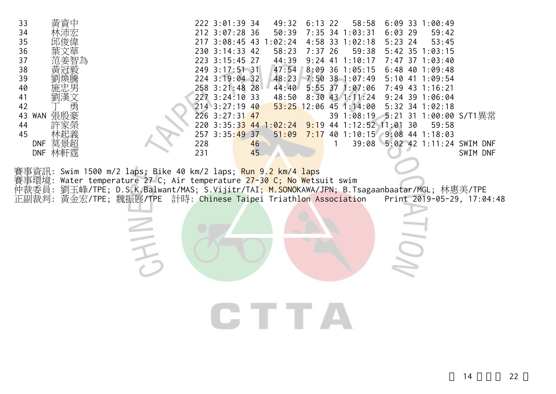| 33<br>34<br>35<br>36<br>37<br>38<br>39<br>40<br>41<br>42<br>43 WAN<br>44<br>45<br><b>DNF</b><br>莫景超<br>DNF 林軒霆 | 222 3:01:39 34<br>49:32<br>$6:13$ 22<br>58:58 6:09 33 1:00:49<br>212 3:07:28 36<br>50:39<br>7:35 34 1:03:31<br>$6:03$ 29<br>59:42<br>217 3:08:45 43 1:02:24<br>4:58 33 1:02:18<br>$5:23$ 24<br>53:45<br>230 3:14:33 42<br>58:23<br>$7:37$ 26<br>59:38<br>5:42 35 1:03:15<br>223 3:15:45 27<br>44:39<br>$9:24$ 41 1:10:17<br>7:47 37 1:03:40<br>47:54<br>249 3:17:51 31<br>8:09 36 1:05:15<br>$6:48$ 40 1:09:48<br>48:23 7:50 38 1:07:49<br>224 3:19:04 32<br>5:10 41 1:09:54<br>258 3:21:48 28<br>5:55 37 1:07:06<br>44:40<br>7:49 43 1:16:21<br>227 3:24:10 33<br>48:50<br>8:30 43 1:11:24 9:24 39 1:06:04<br>214 3:27:19 40<br>$53:25$ 12:06 45 1:14:00<br>5:32 34 1:02:18<br>226 3:27:31 47<br>39 1:08:19 5:21 31 1:00:00 S/T1異常<br>220 3:35:33 44 1:02:24<br>$9:19$ 44 1:12:52 11:01 30<br>59:58<br>257 3:35:49 37<br>$51:09$ 7:17 40 1:10:15 9:08 44 1:18:03<br>228<br>39:08 5:02 42 1:11:24 SWIM DNF<br>46<br>45<br>231<br>SWIM DNF |
|----------------------------------------------------------------------------------------------------------------|-------------------------------------------------------------------------------------------------------------------------------------------------------------------------------------------------------------------------------------------------------------------------------------------------------------------------------------------------------------------------------------------------------------------------------------------------------------------------------------------------------------------------------------------------------------------------------------------------------------------------------------------------------------------------------------------------------------------------------------------------------------------------------------------------------------------------------------------------------------------------------------------------------------------------------------------|
| 賽事環境:<br>仲裁委員:<br>正副裁判:                                                                                        | 賽事資訊: Swim 1500 m/2 laps; Bike 40 km/2 laps; <mark>Run 9.2 km/4 laps</mark><br>Water temperature 27 C; Air temperature 27-30 C; No Wetsuit swim<br>劉玉峰/TPE; D.S.K.Balwant/MAS; S.Vijitr/TAI <mark>; M.SONO</mark> KAWA/JPN; B.Tsagaanbaatar/MGL; 林惠美/TPE<br>黃金宏/TPE; 魏振展/TPE 計時: Chinese Taipei Triathlon Association<br>Print 2019-05-29, 17:04:48<br>GIA                                                                                                                                                                                                                                                                                                                                                                                                                                                                                                                                                                                |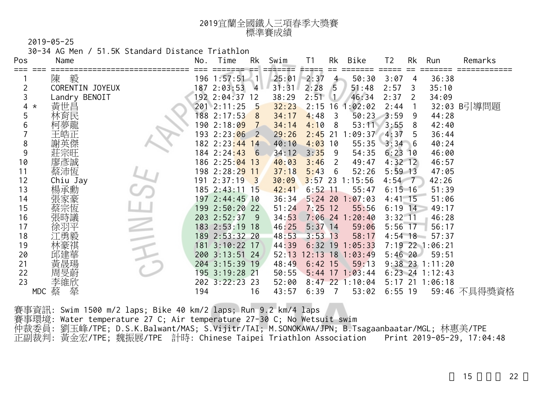| 2019宜蘭全國鐵人三項春季大獎賽 |
|-------------------|
| 標準賽成績             |

30-34 AG Men / 51.5K Standard Distance Triathlon

| Pos            | Name            | No. | Time                         | Rk                         | Swim  | T1        | Rk             | Bike              | T <sub>2</sub> | Rk | Run               | Remarks      |
|----------------|-----------------|-----|------------------------------|----------------------------|-------|-----------|----------------|-------------------|----------------|----|-------------------|--------------|
|                | 毅<br>陳          |     | $196 \t1:57:51 \t1$          |                            | 25:01 | 2:37      | $\overline{4}$ | 50:30             | 3:07           | 4  | 36:38             |              |
| $\overline{2}$ | CORENTIN JOYEUX |     | 187 2:03:53                  | $\overline{4}$             | 31:31 | 2:28      | $\sqrt{5}$     | 51:48             | 2:57           | 3  | 35:10             |              |
| 3              | Landry BENOIT   |     | 192 2:04:37 12               |                            | 38:29 | 2:51      | w              | 46:34             | 2:37           | 2  | 34:09             |              |
| 4              | 黃世昌<br>$^\star$ |     | 201 2:11:25                  | $\sqrt{5}$                 | 32:23 | 2:15      | 16             | 1:02:02           | 2:44           |    |                   | 32:03 B引導問題  |
| 5              | 林育民             |     | 188 2:17:53                  | 8                          | 34:17 | 4:48      | 3              | 50:23             | 3:59           | 9  | 44:28             |              |
| 6              |                 |     | 190 2:18:0 <mark>9</mark>    | $\mathcal{I}$              | 34:14 | 4:10      | 8              | 53:11             | 3:55           | 8  | 42:40             |              |
|                |                 |     | 193 2:23: <mark>06</mark>    | $\overline{2}$             | 29:26 | $2:45$ 21 |                | :09:37            | 4:37           | 5  | 36:44             |              |
| 8              |                 |     | 182 2:23 <mark>:44 14</mark> |                            | 40:10 | $4:03$ 10 |                | 55:35             | $3:34 \ 6$     |    | 40:24             |              |
| 9              |                 |     | 184 2:24 <mark>:43</mark>    | $6\overline{6}$            | 34:12 | 3:35      | 9              | 54:35             | $6:23$ 10      |    | 46:00             |              |
| 10             | 彥誠              |     | 186 2:25: <mark>04 13</mark> |                            | 40:03 | 3:46      | 2              | 49:47             | $4:32$ 12      |    | 46:57             |              |
| 11             | 蔡沛恆             |     | 198 2:28: <mark>29 11</mark> |                            | 37:18 | 5:43      | 6              | 52:26             | $5:59$ 13      |    | 47:05             |              |
| 12             | Chiu Jay        |     | 191 2:37:19                  | $\overline{\phantom{a}}$ 3 | 30:09 | $3:57$ 23 |                | 1:15:56           | $4:54 \quad 7$ |    | 42:26             |              |
| 13             | 楊承勳             |     | 185 2:43:11 15               |                            | 42:41 | $6:52$ 11 |                | 55:47             | $6:15$ 16      |    | 51:39             |              |
| 14             |                 |     | 197 2:44:45 10               |                            | 36:34 | $5:24$ 20 |                | :07:03            | $4:41$ 15      |    | 51:06             |              |
| 15             |                 |     | 199 2:50:20 22               |                            | 51:24 | $7:25$ 12 |                | 55:56             | $6:19$ 14      |    | 49:17             |              |
| 16             |                 |     | 203 2:52:37                  | 9                          | 34:53 |           |                | $7:06$ 24 1:20:40 | $3:32$ 11      |    | 46:28             |              |
| 17             |                 |     | 183 2:53:19 18               |                            | 46:25 | $5:37$ 14 |                | 59:06             | $5:56$ 17      |    | 56:17             |              |
| 18             |                 |     | 189 2:53:32 20               |                            | 48:53 | $3:53$ 13 |                | 58:17             | $4:54$ 18      |    | 57:37             |              |
| 19             |                 |     | 181 3:10:22 17               |                            | 44:39 | $6:32$ 19 |                | 1:05:33           |                |    | 7:19 22 1:06:21   |              |
| 20             |                 |     | 200 3:13:51 24               |                            | 52:13 |           |                | 12:13 18 1:03:49  | $5:46$ 20      |    | 59:51             |              |
| 21             |                 |     | 204 3:15:39 19               |                            | 48:49 | $6:42$ 15 |                | 59:13             |                |    | $9:38$ 23 1:11:20 |              |
| 22             |                 |     | 195 3:19:28 21               |                            | 50:55 |           |                | $5:44$ 17 1:03:44 |                |    | $6:23$ 24 1:12:43 |              |
| 23             | 李維欣             |     | 202 3:22:23 23               |                            | 52:00 |           |                | $8:47$ 22 1:10:04 |                |    | 5:17 21 1:06:18   |              |
|                | 蔡<br>犖<br>MDC   | 194 |                              | 16                         | 43:57 | 6:39      | $\overline{7}$ | 53:02             | $6:55$ 19      |    |                   | 59:46 不具得獎資格 |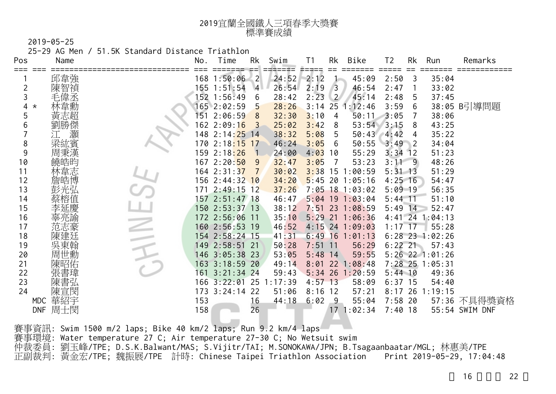| 2019宜蘭全國鐵人三項春季大獎賽 |
|-------------------|
| 標準賽成績             |

25-29 AG Men / 51.5K Standard Distance Triathlon

| Pos            | Name              | No. | Time           | Rk                  | Swim    | T <sub>1</sub> | Rk             | Bike              | T <sub>2</sub> | Rk             | Run               | Remarks        |
|----------------|-------------------|-----|----------------|---------------------|---------|----------------|----------------|-------------------|----------------|----------------|-------------------|----------------|
|                | 邱韋強               |     | 168 1:50:06    | $\langle 2 \rangle$ | 24:52   | 2:12           |                | 45:09             | 2:50           | 3              | 35:04             |                |
| $\overline{c}$ | 陳智禎               |     | 155 1:51:54    | $\overline{4}$      | 26:54   | 2:19           | $\overline{3}$ | 46:54             | 2:47           |                | 33:02             |                |
| 3              | 毛偉丞               |     | 152 1:56:49    | 6                   | 28:42   | 2:23           | $\overline{2}$ | 45:14             | 2:48           | 5              | 37:45             |                |
| 4              | $^\star$          |     | 165 2:02:59    | 5                   | 28:26   | 3:14           | 25             | 1:12:46           | 3:59           | 6              |                   | 38:05 B引導問題    |
| 5              | 黃志超               | 151 | 2:06:59        | 8                   | 32:30   | 3:10           | 4              | 50:11             | 3:05           |                | 38:06             |                |
| 6              | 劉勝傑               |     | 62 2:09:16     | 3                   | 25:02   | 3:42           | 8              | 53:54             | 3:15           | 8              | 43:25             |                |
|                |                   | 148 | 2:14:25        | 14                  | 38:32   | 5:08           | 5              | 50:43             | 4:42           | 4              | 35:22             |                |
| 8              | 梁紘賓               | 170 | 2:18:15        | 17                  | 46:24   | 3:05           | 6              | 50:55             | 3:49           | $\overline{2}$ | 34:04             |                |
| 9              | 周秉漢               |     | 159 2:18:26    |                     | 24:00   | 4:03           | 10             | 55:29             | $3:34$ 12      |                | 51:23             |                |
| 10             | 饒皓昀               |     | 167 2:20:50    | 9                   | 32:47   | 3:05           | 7              | 53:23             | $3:11 \ 9$     |                | 48:26             |                |
| 11             | 林韋志               |     | 164 2:31:37    |                     | 30:02   | $3:38$ 15      |                | 1:00:59           | $5:31$ 13      |                | 51:29             |                |
| 12             |                   |     | 156 2:44:32 10 |                     | 34:20   | $5:45$ 20      |                | 1:05:16           | $4:25$ 16      |                | 54:47             |                |
| 13             | 光弘                | 171 | $2:49:15$ 12   |                     | 37:26   |                |                | $7:05$ 18 1:03:02 | $5:09$ 19      |                | 56:35             |                |
| 14             |                   |     | 157 2:51:47 18 |                     | 46:47   |                |                | $5:04$ 19 1:03:04 | $5:44$ 11      |                | 51:10             |                |
| 15             |                   |     | 150 2:53:37 13 |                     | 38:12   |                |                | 7:51 23 1:08:59   | $5:49$ 14      |                | 52:47             |                |
| 16             | 辜亮諭               |     | 172 2:56:06 11 |                     | 35:10   | $5:29$ 21      |                | 1:06:36           |                |                | $4:41$ 24 1:04:13 |                |
| 17             | 范志豪               |     | 160 2:56:53 19 |                     | 46:52   |                |                | 4:15 24 1:09:03   | $1:17$ 17      |                | 55:28             |                |
| 18             | 陳建廷               |     | 154 2:58:24 15 |                     | 41:31   | $6:49$ 16      |                | 1:01:13           |                |                | $6:28$ 23 1:02:26 |                |
| 19             | 吳東翰               |     | 149 2:58:51 21 |                     | 50:28   | $7:51$ 11      |                | 56:29             | $6:22$ 21      |                | 57:43             |                |
| 20             | 周世勳               |     | 146 3:05:38 23 |                     | 53:05   | $5:48$ 14      |                | 59:55             |                |                | $5:26$ 22 1:01:26 |                |
| 21             | 陳昭佑               |     | 163 3:18:59 20 |                     | 49:14   | 8:01           | 22             | 1:08:48           |                |                | 7:28 25 1:05:31   |                |
| 22             | 張書瑋               | 161 | $3:21:34$ 24   |                     | 59:43   | $5:34$ 26      |                | 1:20:59           | $5:44$ 10      |                | 49:36             |                |
| 23             | 陳書弘               |     | 166 3:22:01 25 |                     | 1:17:39 | $4:57$ 13      |                | 58:09             | $6:37$ 15      |                | 54:40             |                |
| 24             | 陳宣閔               | 173 | $3:24:14$ 22   |                     | 51:06   | 8:16           | 12             | 57:21             |                |                | 8:17 26 1:19:15   |                |
|                | 華紹宇<br>MDC        | 153 |                | 16                  | 44:18   | 6:02           | 9              | 55:04             | $7:58$ 20      |                |                   | 57:36 不具得獎資格   |
|                | 周士閔<br><b>DNF</b> | 158 |                | 26                  |         |                |                | 171:02:34         | $7:40$ 18      |                |                   | 55:54 SWIM DNF |
|                |                   |     |                |                     |         |                |                |                   |                |                |                   |                |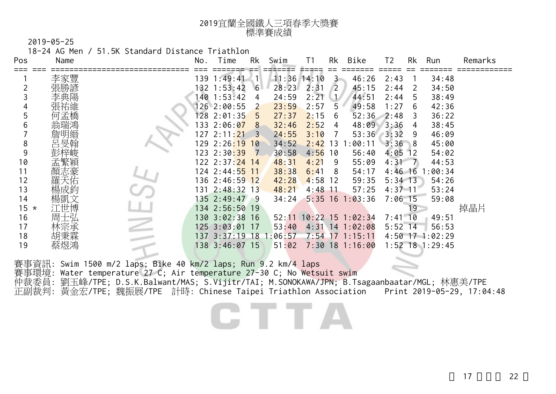| 2019宜蘭全國鐵人三項春季大獎賽 |
|-------------------|
| 標準賽成績             |

18-24 AG Men / 51.5K Standard Distance Triathlon

| Pos                        | Name                 | No. | Time                         | Rk  | Swim            |       | Rk     | Bike         | T2           | Rk       | Run                 | Remarks |
|----------------------------|----------------------|-----|------------------------------|-----|-----------------|-------|--------|--------------|--------------|----------|---------------------|---------|
|                            | 李家豐                  |     | 139 1:49:41                  |     | $11:36$ $14:10$ |       | 3      | 46:26        | 2:43         |          | 34:48               |         |
|                            |                      |     | 32 1:53:42                   | 6   | 28:23           | 2:31  |        | 45:15        | 2:44         | 2        | 34:50               |         |
|                            |                      |     | 40 1:53:42                   | 4   | 24:59           | 2:21  | $\sim$ | 44:51        | 2:44         | 5        | 38:49               |         |
| 4                          |                      |     | 126 2:00:55                  |     | 23:59           | 2:57  | 5      | 49:58        | 1:27         |          | 42:36               |         |
|                            |                      |     |                              |     |                 |       |        |              |              | 6        |                     |         |
| 5                          |                      |     | 128 2:01:35                  | 5   | 27:37           | 2:15  | 6      | 52:36        | 2:48         | 3        | 36:22               |         |
| 6                          |                      | 33  | 2:06:07                      | 8   | 32:46           | 2:52  | 4      | 48:09        | 3:36         | 4        | 38:45               |         |
|                            | 詹明縉                  |     | 127 2:11: <mark>21</mark>    | 3   | 24:55           | 3:10  |        | 53:36        | 3:32         | -9       | 46:09               |         |
| 8                          | 旻翰                   |     | 29 2:26:19                   | 10  | 34:52           | 2:42  | 3      | :00:11       | 3:36         | - 8      | 45:00               |         |
| 9                          |                      |     | 123 2:30 <mark>:39</mark>    |     | 30:58           | 4:56  | 10     | 56:40        | 4:05         | 12       | 54:02               |         |
| 10                         |                      |     | 122 2:37: <mark>24 14</mark> |     | 48:31           | 4:21  | 9      | 55:09        | 4:31         | $\sim$ 7 | 44:53               |         |
| 11                         | 顏志豪                  |     | 124 2:44: <mark>55 11</mark> |     | 38:38           | 6:41  | 8      | 54:17        | $4:46 \; 16$ |          | :00:34              |         |
| 12                         | 天佑                   |     | 136 2:46:59 12               |     | 42:28           | 4:58  | 12     | 59:35        | $5:34$ 13    |          | 54:26               |         |
| 13                         |                      | 131 | $2:48:32$ 13                 |     | 48:21           | 4:48  |        | 57:25        | $4:37$ 11    |          | 53:24               |         |
| 14                         | 楊凱文                  |     | 135 2:49:47 9                |     | 34:24           | 5:35  | 16     | :03:36       | $7:06$ 15    |          | 59:08               |         |
| 15 <sub>1</sub><br>$\star$ | ニ世博                  |     | 134 2:56:50 19               |     |                 |       |        |              |              | 19       |                     | 掉晶片     |
| 16                         | $-\frac{1}{2}L$<br>周 |     | 130 3:02:38 16               |     | 52:11           | 10:22 |        | $15$ 1:02:34 | $7:41 - 10$  |          | 49:51               |         |
| 17                         |                      |     | 125 3:03:01                  | -17 | 53:40           | 4:31  | 14     | 1:02:08      | $5:52$ 14    |          | 56:53               |         |
| 18                         | 秉霖                   |     | 137 3:37:19 18               |     | :06:57          | 7:54  | 17     | 1:15:11      |              |          | $4:50$ 17 1:02:29   |         |
|                            |                      |     |                              |     |                 |       |        |              |              |          |                     |         |
| 19                         |                      |     | 138 3:46:07 15               |     | 51:02           | 7:30  | 18     | 1:16:00      |              |          | $1:52$ 18 $1:29:45$ |         |

賽事資訊: Swim 1500 m/2 laps; Bike 40 km/2 laps; Run 9.2 km/4 laps 賽事環境: Water temperature 27 C; Air temperature 27-30 C; No Wetsuit swim 仲裁委員: 劉玉峰/TPE; D.S.K.Balwant/MAS; S.Vijitr/TAI; M.SONOKAWA/JPN; B.Tsagaanbaatar/MGL; 林惠美/TPE 正副裁判: 黃金宏/TPE; 魏振展/TPE 計時: Chinese Taipei Triathlon Association Print 2019-05-29, 17:04:48

CTTA

22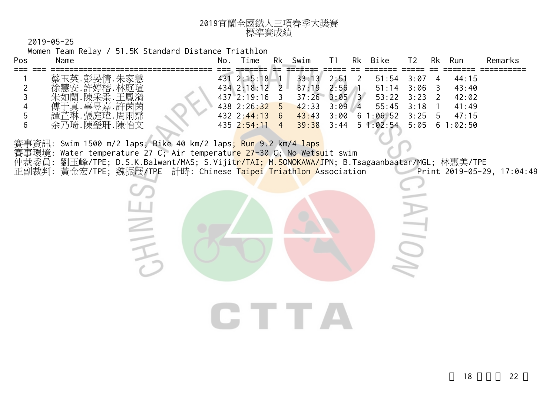2019-05-25

Women Team Relay / 51.5K Standard Distance Triathlon

**SINTS** 

| 蔡玉英.彭晏情.朱家慧<br>2:15:18<br>431<br>33:13<br>2:51<br>$51:54$ $3:07$<br>44:15<br>4<br>徐慧安.許婷榕.林庭瑄<br>37:19<br>2:56<br>$434$ 2:18:12<br>$3:06$ 3<br>51:14<br>43:40<br>$\mathcal{P}$<br>『「陳采柔.」<br>干鳳溢<br>1蘭<br>37:26<br>$53:22$ $3:23$<br>3:05<br>$437$ 2:19:16<br>42:02<br>$\overline{3}$<br>.辜昱嘉.許茵茵<br>傅于真<br>42:33<br>$438$ $2:26:32$<br>3:09<br>41:49<br>$55:45$ $3:18$<br>5<br>$\sqrt{4}$<br>…張庭瑋.周雨霈<br>羊芦琳<br>3:00<br>1:06:52<br>3:25<br>47:15<br>43:43<br>$432 \cdot 2:44:13$<br>6<br>_ 5<br>$\sigma$ | Pos | Name        | No. | Time | Rk | Swim | Rk | <b>Bike</b> | T2 | Rk | Run | Remarks |
|-----------------------------------------------------------------------------------------------------------------------------------------------------------------------------------------------------------------------------------------------------------------------------------------------------------------------------------------------------------------------------------------------------------------------------------------------------------------------------------------------------------|-----|-------------|-----|------|----|------|----|-------------|----|----|-----|---------|
| 39:38<br>51:02:54<br>$5:05 \quad 6 \quad 1:02:50$<br>435 2:54:11<br>3:44<br>$\overline{4}$                                                                                                                                                                                                                                                                                                                                                                                                                |     | 余乃琦.陳瑩珊.陳怡文 |     |      |    |      |    |             |    |    |     |         |

CTTA

賽事資訊: Swim 1500 m/2 laps; Bike 40 km/2 laps; Run 9.2 km/4 laps 賽事環境: Water temperature 27 C; Air temperature 27-30 C; No Wetsuit swim 仲裁委員: 劉玉峰/TPE; D.S.K.Balwant/MAS; S.Vijit<mark>r/TAI; M.SONOKAWA/J</mark>PN; B.Tsagaanbaatar/MGL; 林惠美/TPE 正副裁判: 黃金宏/TPE; 魏振展/TPE 計時: Chinese <mark>Taipei Triathlon A</mark>ssociation Print 2019-05-29, 17:04:49

 $\frac{1}{2}$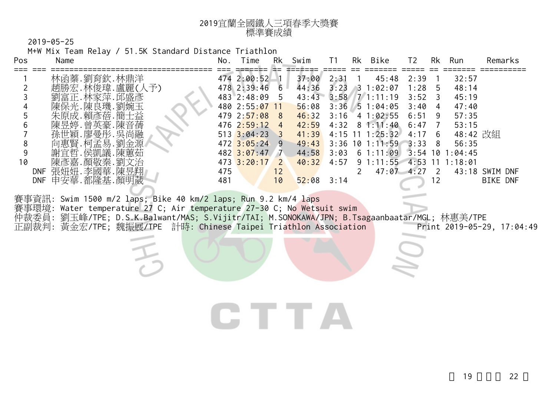2019-05-25

M+W Mix Team Relay / 51.5K Standard Distance Triathlon

| Pos | Name                      | No. | Time                     | RK            | Swim  | T1        | Rk | Bike           | Т2.     | Rk             | Run               | Remarks         |
|-----|---------------------------|-----|--------------------------|---------------|-------|-----------|----|----------------|---------|----------------|-------------------|-----------------|
|     |                           |     |                          |               |       |           |    |                |         |                |                   |                 |
|     | 林函蓁.劉育欽.林鼎洋               |     | 474 2:00:52              |               | 37:00 | 2:31      |    | 45:48          | 2:39    |                | 32:57             |                 |
|     | 趙勝宏.林俊瑋.盧麗<br>.予)         |     | 478 2:39:46              | 6             | 44:36 | 3:23      |    | 31:02:07       | 1:28    | - 5            | 48:14             |                 |
|     | 劉富正.林家萍.邱盛彥               |     | 483 2:48:09              | $\mathcal{L}$ | 43:43 | 3:58      |    | 1.11:19        | 3:52    | - 3            | 45:19             |                 |
|     | 陳保光.陳良璣.劉婉玉               |     | 480 2:55:07              |               | 56:08 | 3:36      |    | 51:04:05       | 3:40    | 4              | 47:40             |                 |
|     | 朱原成.賴彥蓓.簡士益               |     | 4792:57:08               | 8             | 46:32 | 3:16      |    | 4 1:02:55      | 6:51    | 9              | 57:35             |                 |
|     | 陳昱婷.曾英豪.陳音蒨               |     | $476$ $2:59:12$          | 4             | 42:59 | 4:32      |    | $8 \t1:11:40$  | 6:47    |                | 53:15             |                 |
|     | 孫世穎.廖曼彤.吳尚融               |     | 513 $3:04:23$            |               | 41:39 | $4:15$ 11 |    | 1:25:32        | 4:17    | -6             | 48:42 改組          |                 |
|     | 向惠賢.柯孟易.劉金源               |     | $472 \overline{3:05:24}$ | 9             | 49:43 | 3:36      |    | 101:11:59      | $-3:33$ | - 8            | 56:35             |                 |
|     | 謝宜哲.侯凱議.陳蕙茹               |     | $482 \overline{3:07:47}$ |               | 44:58 | 3:03      |    | $6 \; 1:11:09$ |         |                | $3:54$ 10 1:04:45 |                 |
| 10  | 陳彥嘉.顏敬秦.劉                 |     | $473$ $3:20:17$          | $\mathcal{P}$ | 40:32 | 4:57      |    | $9 \t1:11:55$  | 4:53    |                | :18:01            |                 |
|     | 張妞妞.李國華.陳昱翔<br><b>DNF</b> | 475 |                          | 12            |       |           |    | $47:07$ $4:27$ |         | $\overline{2}$ | 43:18             | SWIM DNF        |
|     | 安華.都隆基.顏明葳<br><b>DNF</b>  | 481 |                          | 10            | 52:08 | 3:14      |    |                |         | 12             |                   | <b>BIKE DNF</b> |

賽事資訊: Swim 1500 m/2 laps; Bike 40 km/2 laps; Run 9.2 km/4 laps

賽事環境: Water temperature 27 C; Air temperature 27-30 C; No Wetsuit swim

仲裁委員: 劉玉峰/TPE; D.S.K.Balwant/MAS; S.Vijitr/TAI; M.SONOKAWA/JPN; B.Tsagaanbaatar/MGL; 林惠美/TPE<br>正副裁判: 黃金宏/TPE: 魏振展/TPE 計時: Chinese Taipei Triathlon Association Print 2019-05-29, 17:04:49

正副裁判: 黃金宏/TPE; 魏振展/TPE 計時: Chinese Taipei Triathlon Association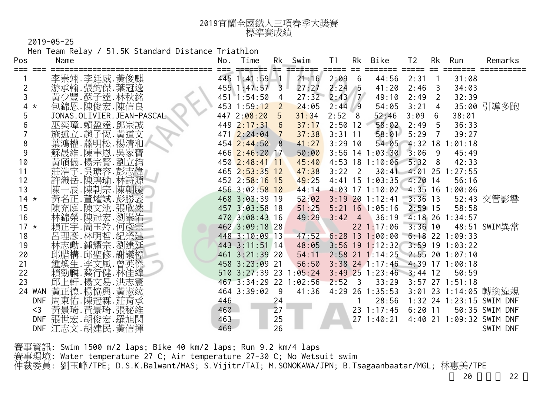| 2019宜蘭全國鐵人三項春季大獎賽 |
|-------------------|
| 標準賽成績             |

Men Team Relay / 51.5K Standard Distance Triathlon

| Pos          | Name                       | No. | Time                   | Rk              | Swim    | T1             | Rk                         | Bike                              | Τ2        | Rk              | Run                       | Remarks                  |
|--------------|----------------------------|-----|------------------------|-----------------|---------|----------------|----------------------------|-----------------------------------|-----------|-----------------|---------------------------|--------------------------|
| ===          | 李崇翊.李廷威.黃俊麒                |     | 3855565<br>445 1:41:59 |                 | 21:16   | 2:09           | $6\phantom{1}6$            | ======<br>44:56                   | 2:31      | $\overline{1}$  | 31:08                     |                          |
| 2            | 游承翰.張鈞傑.葉冠逸                |     | 455 1:47:57            | $\overline{3}$  | 27:27   | $2:24 \quad 5$ |                            | 41:20                             | 2:46      | $\overline{3}$  | 34:03                     |                          |
| 3            | 黃少豐.蘇子達.林秋銘                |     | $451$ 1:54:50          | 4               | 27:32   | $2:43 \mid 7$  |                            | 49:10                             | 2:49      | $\overline{2}$  | 32:39                     |                          |
| 4<br>$\star$ | 包錦恩.陳俊宏.陳信良                |     | 453 1:59:12            | $\overline{2}$  | 24:05   | 2:44           | <u>9</u>                   | 54:05                             | 3:21      | 4               |                           | 35:00 引導多跑               |
| 5            | JONAS.OLIVIER.JEAN-PASCAL  |     | 447 2:08:20            | $5\overline{)}$ | 31:34   | $2:52 \t 8$    |                            | 52:46                             | 3:09      | 6               | 38:01                     |                          |
| 6            | 巫奕璋.賴盈達.鄧宗誠                |     | 449 2:17:31            | $6\overline{6}$ | 37:17   | $2:50$ 12      |                            | 58:02                             | 2:49      | $5\overline{5}$ | 36:33                     |                          |
|              | 施述立. 趟子恆. 黃道文              |     | $471$ $2:24:04$ 7      |                 | 37:38   | $3:31$ 11      |                            | 58:01                             | 5:29      | $\overline{7}$  | 39:27                     |                          |
| 8            | 葉鴻權.蕭明松.楊清和                |     | 454 2:44:50            | 8               | 41:27   | $3:29$ 10      |                            |                                   |           |                 | 54:05 4:32 18 1:01:18     |                          |
| 9            | 蘇晟維.陳聿恩.吳家寶                |     | 466 2:46:20 17         |                 | 50:00   |                |                            | $3:56$ 14 1:03:30                 | 3:06      | -9              | 45:49                     |                          |
| 10           | 黃頎儀.楊宗賢.劉立鈞                |     | 450 2:48:41 11         |                 | 45:40   |                |                            | 4:53 18 1:10:06 5:32              |           | 8               | 42:33                     |                          |
| 11           | 莊浩宇.吳瑭容.彭志偉                |     | 465 2:53:35 12         |                 | 47:38   | 3:22           | $\overline{\phantom{0}}^2$ |                                   |           |                 | $30:41 - 4:01$ 25 1:27:55 |                          |
| 12           | 許熾岳.陳鴻瑜.林詩源                |     | 452 2:58:16 15         |                 | 49:25   |                |                            | 4:41 15 1:03:35 4:20 14           |           |                 | 56:16                     |                          |
| 13           | 陳一辰.陳朝宗.陳朝慶                |     | 456 3:02:58 10         |                 | 44:14   |                |                            | 4:03 17 1:10:02 4:35 16 1:00:06   |           |                 |                           |                          |
| $14 *$       | 黃名正.董燿誠.彭勝義                |     | 468 3:03:39 19         |                 | 52:02   |                |                            | 3:19 20 1:12:41 3:36 13           |           |                 |                           | 52:43 交管影響               |
| 15           | 陳充庭.陳文池.張欣然                |     | 457 3:03:58 18         |                 | 51:25   |                |                            | $5:21$ 16 1:05:16                 | $2:59$ 15 |                 | 58:58                     |                          |
| 16           | 林錦榮.陳冠宏.劉崇佑                |     | 470 3:08:43 16         |                 | 49:29   | 3:42           | $\overline{4}$             |                                   |           |                 | 36:19 4:18 26 1:34:57     |                          |
| $17 *$       | 賴正宇.簡玉羚.何彥宗                |     | 462 3:09:18 28         |                 |         |                |                            | $22$ 1:17:06                      | $3:36$ 10 |                 |                           | 48:51 SWIM異常             |
| 18           | 呂理彥.林明哲.紀榮建                |     | 448 3:10:09 13         |                 | 47:52   |                |                            | $6:28$ 13 1:00:00 6:18 22 1:09:33 |           |                 |                           |                          |
| 19           | 林志勳.鍾耀宗.劉建延                |     | 443 3:11:51 14         |                 | 48:05   |                |                            | $3:56$ 19 1:12:32 3:59 19 1:03:22 |           |                 |                           |                          |
| 20           | 邱腊構.邱聖修.謝議樟                |     | 461 3:21:39 20         |                 | 54:11   |                |                            | 2:58 21 1:14:25 2:55 20 1:07:10   |           |                 |                           |                          |
| 21           | 鍾煥生.李文風.曾英傑                |     | 458 3:23:09 21         |                 | 56:50   |                |                            | 3:38 24 1:17:46 4:39 17 1:00:18   |           |                 |                           |                          |
| 22           | 賴勁麟.蔡行健.林佳緯                |     | 510 3:27:39 23         |                 | 1:05:24 |                |                            | $3:49$ 25 1:23:46 3:44 12         |           |                 | 50:59                     |                          |
| 23           | 邱上軒.楊文易.洪志憲<br>黃正德.楊協興.黃憲紘 |     | 467 3:34:29 22 1:02:56 |                 |         | $2:52 \t3$     |                            | 33:29                             |           |                 | $3:57$ 27 1:51:18         |                          |
| 24 WAN       |                            |     | 464 3:39:02 9          |                 | 41:36   |                |                            | 4:29 26 1:35:53                   |           |                 |                           | 3:01 23 1:14:05 轉換違規     |
| <b>DNF</b>   | 周東佑.陳冠霖.莊育承                | 446 |                        | 24              |         |                |                            | 28:56                             |           |                 |                           | 1:32 24 1:23:15 SWIM DNF |
| $<$ 3        | 黃景琦.黃景琦.張秘維                | 460 |                        | 27              |         |                |                            | 23 1:17:45                        | $6:20$ 11 |                 |                           | 50:35 SWIM DNF           |
|              | DNF 張世宏.胡俊宏.羅旭閔            | 463 |                        | 25              |         |                |                            | 271:40:21                         |           |                 |                           | 4:40 21 1:09:32 SWIM DNF |
|              | DNF 江志文.胡建民.黃信揮            | 469 |                        | 26              |         |                |                            |                                   |           |                 |                           | SWIM DNF                 |

賽事資訊: Swim 1500 m/2 laps; Bike 40 km/2 laps; Run 9.2 km/4 laps

賽事環境: Water temperature 27 C; Air temperature 27-30 C; No Wetsuit swim

仲裁委員: 劉玉峰/TPE; D.S.K.Balwant/MAS; S.Vijitr/TAI; M.SONOKAWA/JPN; B.Tsagaanbaatar/MGL; 林惠美/TPE

20 22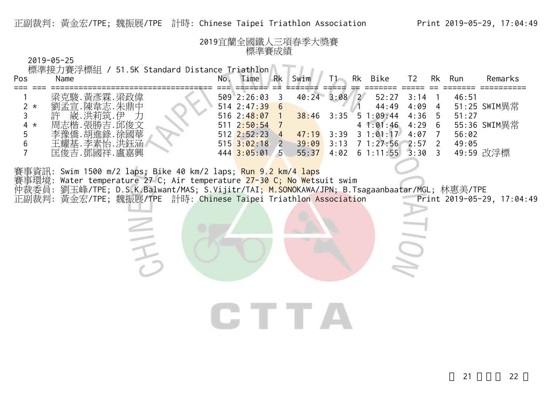#### 正副裁判: 黃金宏/TPE; 魏振展/TPE 計時: Chinese Taipei Triathlon Association Print 2019-05-29, 17:04:49

#### <sup>2019</sup>宜蘭全國鐵人三項春季大獎賽 標準賽成績

#### 2019-05-25

標準接力賽浮標組 / 51.5K Standard Distance Triathlon

三天

| Pos          | Name                                                                     | No. | Time                                                                                      | <b>Rk</b> | Swim           | $T1 -$   | Rk | Bike                                                                                                         | T2 | Rk | Run                     | Remarks                                         |
|--------------|--------------------------------------------------------------------------|-----|-------------------------------------------------------------------------------------------|-----------|----------------|----------|----|--------------------------------------------------------------------------------------------------------------|----|----|-------------------------|-------------------------------------------------|
| $2 *$<br>4 * | 梁克駿.黃彥霖.梁政偉<br>劉孟宣.陳韋志.朱鼎中<br>崴.洪莉筑.伊<br>許<br>周志楷.張勝吉.邱俊文<br>李豫僑.胡進錄.徐國華 |     | $509$ 2:26:03<br>$514 \ \ 2:47:39$<br>516 2:48:07<br>$511 \ \ 2:50:54$<br>$512$ $2:52:23$ | - 6       | 40:24          | $3:08$ 2 |    | $52:27$ $3:14$<br>$38:46$ 3:35 5 1:09:44 4:36 5<br>4 1:01:46 4:29 6<br>$\frac{47:19}{2}$ 3:39 3 1:01:17 4:07 |    |    | 46:51<br>51:27<br>56:02 | 44:49  4:09  4  51:25  SWIM異常<br>- 55:36 SWIM異常 |
|              | 王耀基.李素怡.洪鈺涵<br>匡俊吉.鄧國祥.盧嘉興                                               |     | $515 \overline{3:02:18}$<br>4443:05:01                                                    | .5        | 39:09<br>55:37 | 3:13     |    | 7 1:27:56 2:57<br>$4:02 \quad 6 \quad 1:11:55 \quad 3:30 \quad 3$                                            |    |    | 49:05                   | 49:59 改浮標                                       |

賽事資訊: Swim 1500 m/2 laps; Bike 40 km/2 laps; Run 9.2 km/4 laps 賽事環境: Water temperature 27 C; Air temperature 27-30 C; No Wetsuit swim

仲裁委員: 劉玉峰/TPE; D.S.K.Balwant/MAS; S.Vijitr/TAI; M.SONOKAWA/JPN; B.Tsagaanbaatar/MGL; 林惠美/TPE

正副裁判: 黃金宏/TPE; 魏振展/TPE 計時: Chinese Taipei Triathlon Association Print 2019-05-29, 17:04:49